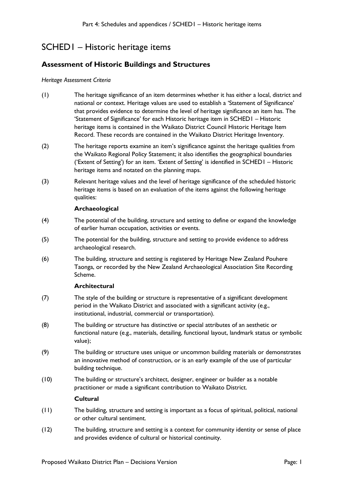# SCHED1 – Historic heritage items

### **Assessment of Historic Buildings and Structures**

#### *Heritage Assessment Criteria*

- (1) The heritage significance of an item determines whether it has either a local, district and national or context. Heritage values are used to establish a 'Statement of Significance' that provides evidence to determine the level of heritage significance an item has. The 'Statement of Significance' for each Historic heritage item in SCHED1 – Historic heritage items is contained in the Waikato District Council Historic Heritage Item Record. These records are contained in the Waikato District Heritage Inventory.
- (2) The heritage reports examine an item's significance against the heritage qualities from the Waikato Regional Policy Statement; it also identifies the geographical boundaries ('Extent of Setting') for an item. 'Extent of Setting' is identified in SCHED1 – Historic heritage items and notated on the planning maps.
- (3) Relevant heritage values and the level of heritage significance of the scheduled historic heritage items is based on an evaluation of the items against the following heritage qualities:

#### **Archaeological**

- (4) The potential of the building, structure and setting to define or expand the knowledge of earlier human occupation, activities or events.
- (5) The potential for the building, structure and setting to provide evidence to address archaeological research.
- (6) The building, structure and setting is registered by Heritage New Zealand Pouhere Taonga, or recorded by the New Zealand Archaeological Association Site Recording Scheme.

#### **Architectural**

- (7) The style of the building or structure is representative of a significant development period in the Waikato District and associated with a significant activity (e.g., institutional, industrial, commercial or transportation).
- (8) The building or structure has distinctive or special attributes of an aesthetic or functional nature (e.g., materials, detailing, functional layout, landmark status or symbolic value);
- (9) The building or structure uses unique or uncommon building materials or demonstrates an innovative method of construction, or is an early example of the use of particular building technique.
- (10) The building or structure's architect, designer, engineer or builder as a notable practitioner or made a significant contribution to Waikato District.

#### **Cultural**

- (11) The building, structure and setting is important as a focus of spiritual, political, national or other cultural sentiment.
- (12) The building, structure and setting is a context for community identity or sense of place and provides evidence of cultural or historical continuity.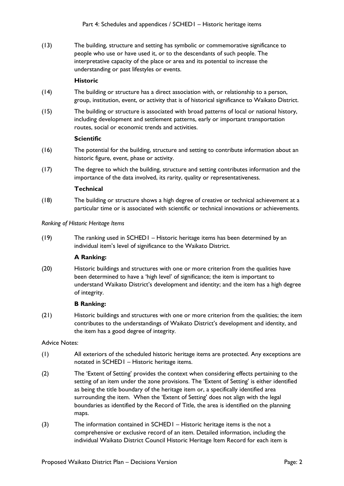(13) The building, structure and setting has symbolic or commemorative significance to people who use or have used it, or to the descendants of such people. The interpretative capacity of the place or area and its potential to increase the understanding or past lifestyles or events.

#### **Historic**

- (14) The building or structure has a direct association with, or relationship to a person, group, institution, event, or activity that is of historical significance to Waikato District.
- (15) The building or structure is associated with broad patterns of local or national history, including development and settlement patterns, early or important transportation routes, social or economic trends and activities.

#### **Scientific**

- (16) The potential for the building, structure and setting to contribute information about an historic figure, event, phase or activity.
- (17) The degree to which the building, structure and setting contributes information and the importance of the data involved, its rarity, quality or representativeness.

#### **Technical**

(18) The building or structure shows a high degree of creative or technical achievement at a particular time or is associated with scientific or technical innovations or achievements.

#### *Ranking of Historic Heritage Items*

(19) The ranking used in SCHED1 – Historic heritage items has been determined by an individual item's level of significance to the Waikato District.

#### **A Ranking:**

(20) Historic buildings and structures with one or more criterion from the qualities have been determined to have a 'high level' of significance; the item is important to understand Waikato District's development and identity; and the item has a high degree of integrity.

#### **B Ranking:**

(21) Historic buildings and structures with one or more criterion from the qualities; the item contributes to the understandings of Waikato District's development and identity, and the item has a good degree of integrity.

#### Advice Notes:

- (1) All exteriors of the scheduled historic heritage items are protected. Any exceptions are notated in SCHED1 – Historic heritage items.
- (2) The 'Extent of Setting' provides the context when considering effects pertaining to the setting of an item under the zone provisions. The 'Extent of Setting' is either identified as being the title boundary of the heritage item or, a specifically identified area surrounding the item. When the 'Extent of Setting' does not align with the legal boundaries as identified by the Record of Title, the area is identified on the planning maps.
- (3) The information contained in SCHED1 Historic heritage items is the not a comprehensive or exclusive record of an item. Detailed information, including the individual Waikato District Council Historic Heritage Item Record for each item is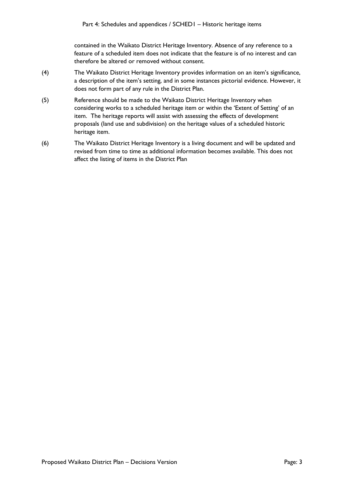contained in the Waikato District Heritage Inventory. Absence of any reference to a feature of a scheduled item does not indicate that the feature is of no interest and can therefore be altered or removed without consent.

- (4) The Waikato District Heritage Inventory provides information on an item's significance, a description of the item's setting, and in some instances pictorial evidence. However, it does not form part of any rule in the District Plan.
- (5) Reference should be made to the Waikato District Heritage Inventory when considering works to a scheduled heritage item or within the 'Extent of Setting' of an item. The heritage reports will assist with assessing the effects of development proposals (land use and subdivision) on the heritage values of a scheduled historic heritage item.
- (6) The Waikato District Heritage Inventory is a living document and will be updated and revised from time to time as additional information becomes available. This does not affect the listing of items in the District Plan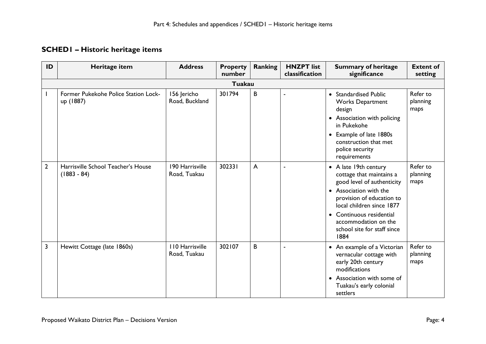## **SCHED1 – Historic heritage items**

| ID             | Heritage item                                       | <b>Address</b>                         | <b>Property</b><br>number | <b>Ranking</b> | <b>HNZPT</b> list<br>classification | <b>Summary of heritage</b><br>significance                                                                                                                                                                                                                     | <b>Extent of</b><br>setting  |  |  |  |  |
|----------------|-----------------------------------------------------|----------------------------------------|---------------------------|----------------|-------------------------------------|----------------------------------------------------------------------------------------------------------------------------------------------------------------------------------------------------------------------------------------------------------------|------------------------------|--|--|--|--|
|                | <b>Tuakau</b>                                       |                                        |                           |                |                                     |                                                                                                                                                                                                                                                                |                              |  |  |  |  |
|                | Former Pukekohe Police Station Lock-<br>up (1887)   | 156 Jericho<br>Road, Buckland          | 301794                    | B              | $\blacksquare$                      | • Standardised Public<br><b>Works Department</b><br>design<br>• Association with policing<br>in Pukekohe<br>• Example of late 1880s<br>construction that met<br>police security<br>requirements                                                                | Refer to<br>planning<br>maps |  |  |  |  |
| $\overline{2}$ | Harrisville School Teacher's House<br>$(1883 - 84)$ | 190 Harrisville<br>Road, Tuakau        | 302331                    | $\mathsf{A}$   | $\blacksquare$                      | • A late 19th century<br>cottage that maintains a<br>good level of authenticity<br>• Association with the<br>provision of education to<br>local children since 1877<br>• Continuous residential<br>accommodation on the<br>school site for staff since<br>1884 | Refer to<br>planning<br>maps |  |  |  |  |
| 3              | Hewitt Cottage (late 1860s)                         | <b>110 Harrisville</b><br>Road, Tuakau | 302107                    | B              | ÷,                                  | • An example of a Victorian<br>vernacular cottage with<br>early 20th century<br>modifications<br>• Association with some of<br>Tuakau's early colonial<br>settlers                                                                                             | Refer to<br>planning<br>maps |  |  |  |  |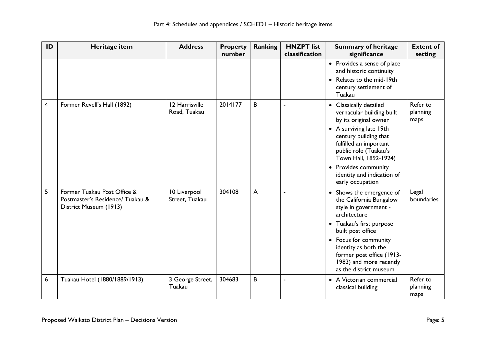| ID | Heritage item                                                                             | <b>Address</b>                 | <b>Property</b><br>number | <b>Ranking</b> | <b>HNZPT</b> list<br>classification | <b>Summary of heritage</b><br>significance                                                                                                                                                                                                                                             | <b>Extent of</b><br>setting  |
|----|-------------------------------------------------------------------------------------------|--------------------------------|---------------------------|----------------|-------------------------------------|----------------------------------------------------------------------------------------------------------------------------------------------------------------------------------------------------------------------------------------------------------------------------------------|------------------------------|
|    |                                                                                           |                                |                           |                |                                     | • Provides a sense of place<br>and historic continuity<br>Relates to the mid-19th<br>century settlement of<br>Tuakau                                                                                                                                                                   |                              |
| 4  | Former Revell's Hall (1892)                                                               | 12 Harrisville<br>Road, Tuakau | 2014177                   | B              |                                     | • Classically detailed<br>vernacular building built<br>by its original owner<br>• A surviving late 19th<br>century building that<br>fulfilled an important<br>public role (Tuakau's<br>Town Hall, 1892-1924)<br>• Provides community<br>identity and indication of<br>early occupation | Refer to<br>planning<br>maps |
| 5  | Former Tuakau Post Office &<br>Postmaster's Residence/ Tuakau &<br>District Museum (1913) | 10 Liverpool<br>Street, Tuakau | 304108                    | $\overline{A}$ |                                     | • Shows the emergence of<br>the California Bungalow<br>style in government -<br>architecture<br>• Tuakau's first purpose<br>built post office<br>• Focus for community<br>identity as both the<br>former post office (1913-<br>1983) and more recently<br>as the district museum       | Legal<br>boundaries          |
| 6  | Tuakau Hotel (1880/1889/1913)                                                             | 3 George Street,<br>Tuakau     | 304683                    | B              |                                     | • A Victorian commercial<br>classical building                                                                                                                                                                                                                                         | Refer to<br>planning<br>maps |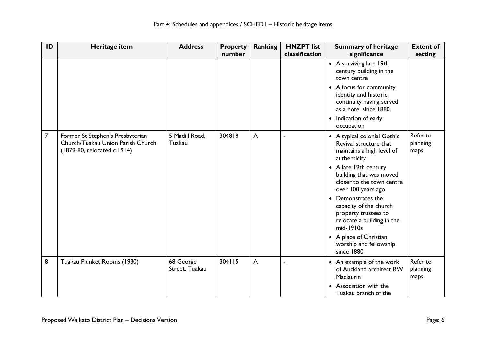| ID             | Heritage item                                                                                        | <b>Address</b>              | <b>Property</b><br>number | <b>Ranking</b> | <b>HNZPT</b> list<br>classification | <b>Summary of heritage</b><br>significance                                                                                                                                                                                                                                                                                                                                                     | <b>Extent of</b><br>setting  |
|----------------|------------------------------------------------------------------------------------------------------|-----------------------------|---------------------------|----------------|-------------------------------------|------------------------------------------------------------------------------------------------------------------------------------------------------------------------------------------------------------------------------------------------------------------------------------------------------------------------------------------------------------------------------------------------|------------------------------|
|                |                                                                                                      |                             |                           |                |                                     | • A surviving late 19th<br>century building in the<br>town centre<br>• A focus for community<br>identity and historic<br>continuity having served<br>as a hotel since 1880.<br>• Indication of early<br>occupation                                                                                                                                                                             |                              |
| $\overline{7}$ | Former St Stephen's Presbyterian<br>Church/Tuakau Union Parish Church<br>(1879-80, relocated c.1914) | 5 Madill Road,<br>Tuakau    | 304818                    | A              | $\blacksquare$                      | • A typical colonial Gothic<br>Revival structure that<br>maintains a high level of<br>authenticity<br>• A late 19th century<br>building that was moved<br>closer to the town centre<br>over 100 years ago<br>• Demonstrates the<br>capacity of the church<br>property trustees to<br>relocate a building in the<br>mid-1910s<br>• A place of Christian<br>worship and fellowship<br>since 1880 | Refer to<br>planning<br>maps |
| 8              | Tuakau Plunket Rooms (1930)                                                                          | 68 George<br>Street, Tuakau | 304115                    | A              |                                     | • An example of the work<br>of Auckland architect RW<br>Maclaurin<br>Association with the<br>$\bullet$<br>Tuakau branch of the                                                                                                                                                                                                                                                                 | Refer to<br>planning<br>maps |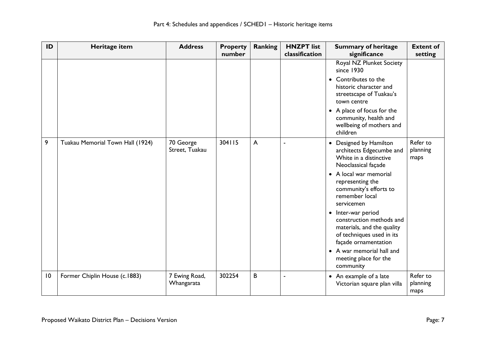| ID | Heritage item                    | <b>Address</b>              | <b>Property</b><br>number | <b>Ranking</b> | <b>HNZPT</b> list<br>classification | <b>Summary of heritage</b><br>significance                                                                                                                                                                                                                                                                                                                                                                        | <b>Extent of</b><br>setting  |
|----|----------------------------------|-----------------------------|---------------------------|----------------|-------------------------------------|-------------------------------------------------------------------------------------------------------------------------------------------------------------------------------------------------------------------------------------------------------------------------------------------------------------------------------------------------------------------------------------------------------------------|------------------------------|
|    |                                  |                             |                           |                |                                     | Royal NZ Plunket Society<br>since 1930<br>Contributes to the<br>$\bullet$<br>historic character and<br>streetscape of Tuakau's<br>town centre<br>• A place of focus for the<br>community, health and<br>wellbeing of mothers and<br>children                                                                                                                                                                      |                              |
| 9  | Tuakau Memorial Town Hall (1924) | 70 George<br>Street, Tuakau | 304115                    | A              |                                     | Designed by Hamilton<br>architects Edgecumbe and<br>White in a distinctive<br>Neoclassical façade<br>• A local war memorial<br>representing the<br>community's efforts to<br>remember local<br>servicemen<br>• Inter-war period<br>construction methods and<br>materials, and the quality<br>of techniques used in its<br>façade ornamentation<br>• A war memorial hall and<br>meeting place for the<br>community | Refer to<br>planning<br>maps |
| 10 | Former Chiplin House (c.1883)    | 7 Ewing Road,<br>Whangarata | 302254                    | B              |                                     | An example of a late<br>$\bullet$<br>Victorian square plan villa                                                                                                                                                                                                                                                                                                                                                  | Refer to<br>planning<br>maps |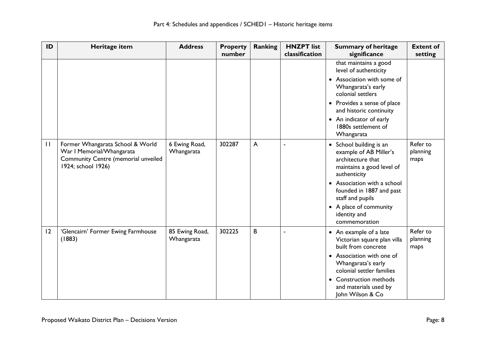| ID           | Heritage item                                                                                                              | <b>Address</b>               | <b>Property</b><br>number | <b>Ranking</b> | <b>HNZPT</b> list<br>classification | <b>Summary of heritage</b><br>significance                                                                                                                                                                                                                               | <b>Extent of</b><br>setting  |
|--------------|----------------------------------------------------------------------------------------------------------------------------|------------------------------|---------------------------|----------------|-------------------------------------|--------------------------------------------------------------------------------------------------------------------------------------------------------------------------------------------------------------------------------------------------------------------------|------------------------------|
|              |                                                                                                                            |                              |                           |                |                                     | that maintains a good<br>level of authenticity<br>• Association with some of<br>Whangarata's early<br>colonial settlers<br>• Provides a sense of place                                                                                                                   |                              |
|              |                                                                                                                            |                              |                           |                |                                     | and historic continuity<br>• An indicator of early<br>1880s settlement of<br>Whangarata                                                                                                                                                                                  |                              |
| $\mathbf{H}$ | Former Whangarata School & World<br>War I Memorial/Whangarata<br>Community Centre (memorial unveiled<br>1924; school 1926) | 6 Ewing Road,<br>Whangarata  | 302287                    | A              |                                     | • School building is an<br>example of AB Miller's<br>architecture that<br>maintains a good level of<br>authenticity<br>Association with a school<br>$\bullet$<br>founded in 1887 and past<br>staff and pupils<br>• A place of community<br>identity and<br>commemoration | Refer to<br>planning<br>maps |
| 12           | 'Glencairn' Former Ewing Farmhouse<br>(1883)                                                                               | 85 Ewing Road,<br>Whangarata | 302225                    | B              |                                     | • An example of a late<br>Victorian square plan villa<br>built from concrete<br>• Association with one of<br>Whangarata's early<br>colonial settler families<br>• Construction methods<br>and materials used by<br>John Wilson & Co                                      | Refer to<br>planning<br>maps |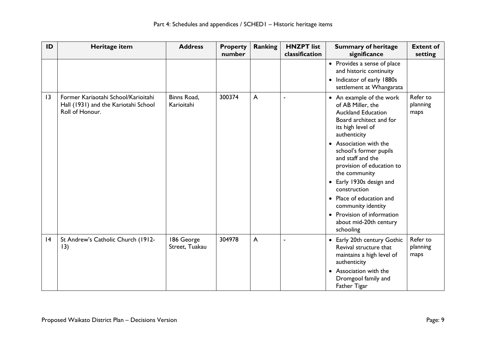| ID              | Heritage item                                                                                  | <b>Address</b>               | <b>Property</b><br>number | <b>Ranking</b> | <b>HNZPT</b> list<br>classification | <b>Summary of heritage</b><br>significance                                                                                                                                                                                                                                                                                                                                                                                           | <b>Extent of</b><br>setting  |
|-----------------|------------------------------------------------------------------------------------------------|------------------------------|---------------------------|----------------|-------------------------------------|--------------------------------------------------------------------------------------------------------------------------------------------------------------------------------------------------------------------------------------------------------------------------------------------------------------------------------------------------------------------------------------------------------------------------------------|------------------------------|
|                 |                                                                                                |                              |                           |                |                                     | • Provides a sense of place<br>and historic continuity<br>• Indicator of early 1880s<br>settlement at Whangarata                                                                                                                                                                                                                                                                                                                     |                              |
| $\overline{13}$ | Former Kariaotahi School/Karioitahi<br>Hall (1931) and the Kariotahi School<br>Roll of Honour. | Binns Road,<br>Karioitahi    | 300374                    | A              | $\blacksquare$                      | • An example of the work<br>of AB Miller, the<br><b>Auckland Education</b><br>Board architect and for<br>its high level of<br>authenticity<br>• Association with the<br>school's former pupils<br>and staff and the<br>provision of education to<br>the community<br>• Early 1930s design and<br>construction<br>• Place of education and<br>community identity<br>• Provision of information<br>about mid-20th century<br>schooling | Refer to<br>planning<br>maps |
| 4               | St Andrew's Catholic Church (1912-<br>13)                                                      | 186 George<br>Street, Tuakau | 304978                    | A              |                                     | • Early 20th century Gothic<br>Revival structure that<br>maintains a high level of<br>authenticity<br>• Association with the<br>Dromgool family and<br>Father Tigar                                                                                                                                                                                                                                                                  | Refer to<br>planning<br>maps |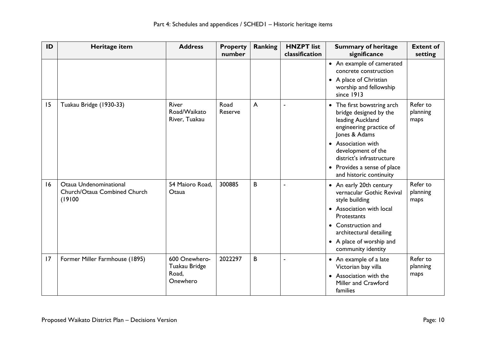| ID | Heritage item                                                    | <b>Address</b>                                      | <b>Property</b><br>number | <b>Ranking</b> | <b>HNZPT</b> list<br>classification | <b>Summary of heritage</b><br>significance                                                                                                                                                                                                                       | <b>Extent of</b><br>setting  |
|----|------------------------------------------------------------------|-----------------------------------------------------|---------------------------|----------------|-------------------------------------|------------------------------------------------------------------------------------------------------------------------------------------------------------------------------------------------------------------------------------------------------------------|------------------------------|
|    |                                                                  |                                                     |                           |                |                                     | • An example of camerated<br>concrete construction<br>• A place of Christian<br>worship and fellowship<br>since 1913                                                                                                                                             |                              |
| 15 | Tuakau Bridge (1930-33)                                          | River<br>Road/Waikato<br>River, Tuakau              | Road<br>Reserve           | $\overline{A}$ | ä,                                  | The first bowstring arch<br>$\bullet$<br>bridge designed by the<br>leading Auckland<br>engineering practice of<br>Jones & Adams<br>• Association with<br>development of the<br>district's infrastructure<br>Provides a sense of place<br>and historic continuity | Refer to<br>planning<br>maps |
| 16 | Otaua Undenominational<br>Church/Otaua Combined Church<br>(19100 | 54 Maioro Road,<br>Otaua                            | 300885                    | B              | i.                                  | • An early 20th century<br>vernacular Gothic Revival<br>style building<br>Association with local<br>Protestants<br>• Construction and<br>architectural detailing<br>• A place of worship and<br>community identity                                               | Refer to<br>planning<br>maps |
| 17 | Former Miller Farmhouse (1895)                                   | 600 Onewhero-<br>Tuakau Bridge<br>Road,<br>Onewhero | 2022297                   | B              | ÷,                                  | • An example of a late<br>Victorian bay villa<br>• Association with the<br>Miller and Crawford<br>families                                                                                                                                                       | Refer to<br>planning<br>maps |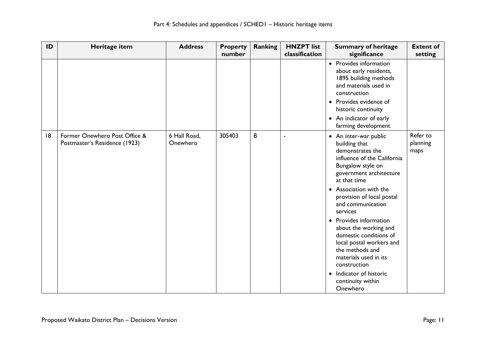| ID | Heritage item                                                  | <b>Address</b>           | <b>Property</b><br>number | <b>Ranking</b> | <b>HNZPT</b> list<br>classification | <b>Summary of heritage</b><br>significance                                                                                                                                                                                                                                                                                                                                                                                                                                                    | <b>Extent of</b><br>setting  |
|----|----------------------------------------------------------------|--------------------------|---------------------------|----------------|-------------------------------------|-----------------------------------------------------------------------------------------------------------------------------------------------------------------------------------------------------------------------------------------------------------------------------------------------------------------------------------------------------------------------------------------------------------------------------------------------------------------------------------------------|------------------------------|
|    |                                                                |                          |                           |                |                                     | • Provides information<br>about early residents,<br>1895 building methods<br>and materials used in<br>construction<br>• Provides evidence of<br>historic continuity<br>• An indicator of early<br>farming development                                                                                                                                                                                                                                                                         |                              |
| 8  | Former Onewhero Post Office &<br>Postmaster's Residence (1923) | 6 Hall Road,<br>Onewhero | 305403                    | B              |                                     | • An inter-war public<br>building that<br>demonstrates the<br>influence of the California<br>Bungalow style on<br>government architecture<br>at that time<br>• Association with the<br>provision of local postal<br>and communication<br>services<br>• Provides information<br>about the working and<br>domestic conditions of<br>local postal workers and<br>the methods and<br>materials used in its<br>construction<br>Indicator of historic<br>$\bullet$<br>continuity within<br>Onewhero | Refer to<br>planning<br>maps |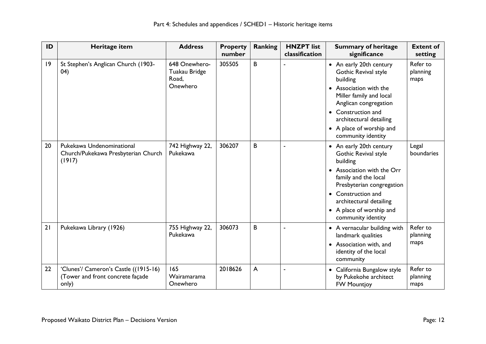| ID | Heritage item                                                                      | <b>Address</b>                                      | <b>Property</b><br>number | <b>Ranking</b> | <b>HNZPT</b> list<br>classification | <b>Summary of heritage</b><br>significance                                                                                                                                                                                                                   | <b>Extent of</b><br>setting  |
|----|------------------------------------------------------------------------------------|-----------------------------------------------------|---------------------------|----------------|-------------------------------------|--------------------------------------------------------------------------------------------------------------------------------------------------------------------------------------------------------------------------------------------------------------|------------------------------|
| 9  | St Stephen's Anglican Church (1903-<br>(04)                                        | 648 Onewhero-<br>Tuakau Bridge<br>Road,<br>Onewhero | 305505                    | B              |                                     | • An early 20th century<br>Gothic Revival style<br>building<br>Association with the<br>Miller family and local<br>Anglican congregation<br>Construction and<br>architectural detailing<br>• A place of worship and<br>community identity                     | Refer to<br>planning<br>maps |
| 20 | Pukekawa Undenominational<br>Church/Pukekawa Presbyterian Church<br>(1917)         | 742 Highway 22,<br>Pukekawa                         | 306207                    | B              |                                     | • An early 20th century<br>Gothic Revival style<br>building<br>• Association with the Orr<br>family and the local<br>Presbyterian congregation<br>Construction and<br>$\bullet$<br>architectural detailing<br>• A place of worship and<br>community identity | Legal<br>boundaries          |
| 21 | Pukekawa Library (1926)                                                            | 755 Highway 22,<br>Pukekawa                         | 306073                    | B              |                                     | • A vernacular building with<br>landmark qualities<br>• Association with, and<br>identity of the local<br>community                                                                                                                                          | Refer to<br>planning<br>maps |
| 22 | 'Clunes'/ Cameron's Castle ((1915-16)<br>(Tower and front concrete façade<br>only) | 165<br>Wairamarama<br>Onewhero                      | 2018626                   | A              |                                     | California Bungalow style<br>by Pukekohe architect<br><b>FW Mountjoy</b>                                                                                                                                                                                     | Refer to<br>planning<br>maps |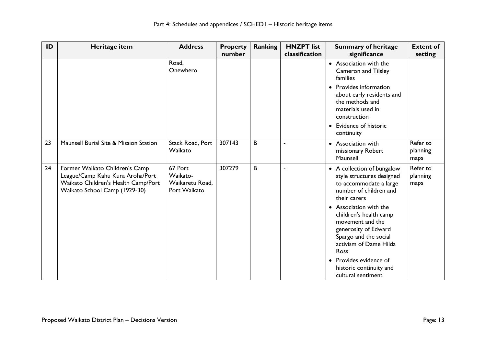| ID | Heritage item                                                                                                                              | <b>Address</b>                                         | <b>Property</b><br>number | <b>Ranking</b> | <b>HNZPT</b> list<br>classification | <b>Summary of heritage</b><br>significance                                                                                                                                                                                                                                                                       | <b>Extent of</b><br>setting  |
|----|--------------------------------------------------------------------------------------------------------------------------------------------|--------------------------------------------------------|---------------------------|----------------|-------------------------------------|------------------------------------------------------------------------------------------------------------------------------------------------------------------------------------------------------------------------------------------------------------------------------------------------------------------|------------------------------|
|    |                                                                                                                                            | Road,<br>Onewhero                                      |                           |                |                                     | • Association with the<br><b>Cameron and Tilsley</b><br>families                                                                                                                                                                                                                                                 |                              |
|    |                                                                                                                                            |                                                        |                           |                |                                     | • Provides information<br>about early residents and<br>the methods and<br>materials used in<br>construction<br>• Evidence of historic<br>continuity                                                                                                                                                              |                              |
| 23 | Maunsell Burial Site & Mission Station                                                                                                     | Stack Road, Port<br>Waikato                            | 307143                    | B              |                                     | • Association with<br>missionary Robert<br>Maunsell                                                                                                                                                                                                                                                              | Refer to<br>planning<br>maps |
| 24 | Former Waikato Children's Camp<br>League/Camp Kahu Kura Aroha/Port<br>Waikato Children's Health Camp/Port<br>Waikato School Camp (1929-30) | 67 Port<br>Waikato-<br>Waikaretu Road,<br>Port Waikato | 307279                    | B              |                                     | • A collection of bungalow<br>style structures designed<br>to accommodate a large<br>number of children and<br>their carers<br>• Association with the<br>children's health camp<br>movement and the<br>generosity of Edward<br>Spargo and the social<br>activism of Dame Hilda<br>Ross<br>• Provides evidence of | Refer to<br>planning<br>maps |
|    |                                                                                                                                            |                                                        |                           |                |                                     | historic continuity and<br>cultural sentiment                                                                                                                                                                                                                                                                    |                              |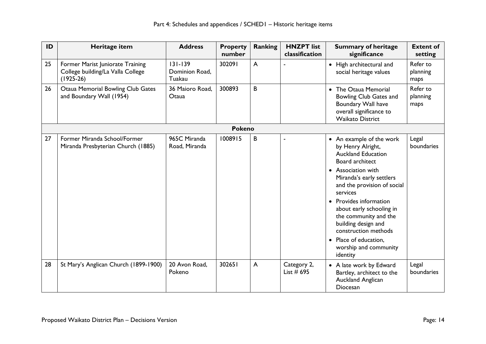| ID | Heritage item                                                                        | <b>Address</b>                          | <b>Property</b><br>number | Ranking        | <b>HNZPT</b> list<br>classification | <b>Summary of heritage</b><br>significance                                                                                                                                                                                                                                                                                                                                           | <b>Extent of</b><br>setting  |
|----|--------------------------------------------------------------------------------------|-----------------------------------------|---------------------------|----------------|-------------------------------------|--------------------------------------------------------------------------------------------------------------------------------------------------------------------------------------------------------------------------------------------------------------------------------------------------------------------------------------------------------------------------------------|------------------------------|
| 25 | Former Marist Juniorate Training<br>College building/La Valla College<br>$(1925-26)$ | $131 - 139$<br>Dominion Road,<br>Tuakau | 302091                    | $\overline{A}$ |                                     | • High architectural and<br>social heritage values                                                                                                                                                                                                                                                                                                                                   | Refer to<br>planning<br>maps |
| 26 | <b>Otaua Memorial Bowling Club Gates</b><br>and Boundary Wall (1954)                 | 36 Maioro Road,<br>Otaua                | 300893                    | B              |                                     | • The Otaua Memorial<br>Bowling Club Gates and<br>Boundary Wall have<br>overall significance to<br><b>Waikato District</b>                                                                                                                                                                                                                                                           | Refer to<br>planning<br>maps |
|    |                                                                                      |                                         | <b>Pokeno</b>             |                |                                     |                                                                                                                                                                                                                                                                                                                                                                                      |                              |
| 27 | Former Miranda School/Former<br>Miranda Presbyterian Church (1885)                   | 965C Miranda<br>Road, Miranda           | 1008915                   | B              |                                     | • An example of the work<br>by Henry Alright,<br><b>Auckland Education</b><br>Board architect<br>• Association with<br>Miranda's early settlers<br>and the provision of social<br>services<br>• Provides information<br>about early schooling in<br>the community and the<br>building design and<br>construction methods<br>Place of education,<br>worship and community<br>identity | Legal<br>boundaries          |
| 28 | St Mary's Anglican Church (1899-1900)                                                | 20 Avon Road,<br>Pokeno                 | 302651                    | $\mathsf{A}$   | Category 2,<br>List $#$ 695         | • A late work by Edward<br>Bartley, architect to the<br>Auckland Anglican<br>Diocesan                                                                                                                                                                                                                                                                                                | Legal<br>boundaries          |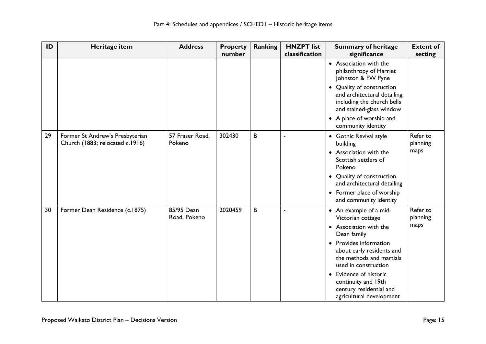| ID | Heritage item                                                      | <b>Address</b>             | <b>Property</b><br>number | <b>Ranking</b> | <b>HNZPT</b> list<br>classification | <b>Summary of heritage</b><br>significance                                                                                     | <b>Extent of</b><br>setting |
|----|--------------------------------------------------------------------|----------------------------|---------------------------|----------------|-------------------------------------|--------------------------------------------------------------------------------------------------------------------------------|-----------------------------|
|    |                                                                    |                            |                           |                |                                     | • Association with the<br>philanthropy of Harriet<br>Johnston & FW Pyne                                                        |                             |
|    |                                                                    |                            |                           |                |                                     | Quality of construction<br>$\bullet$<br>and architectural detailing,<br>including the church bells<br>and stained-glass window |                             |
|    |                                                                    |                            |                           |                |                                     | • A place of worship and<br>community identity                                                                                 |                             |
| 29 | Former St Andrew's Presbyterian<br>Church (1883; relocated c.1916) | 57 Fraser Road,<br>Pokeno  | 302430                    | B              |                                     | • Gothic Revival style<br>building                                                                                             | Refer to<br>planning        |
|    |                                                                    |                            |                           |                |                                     | • Association with the<br>Scottish settlers of<br>Pokeno                                                                       | maps                        |
|    |                                                                    |                            |                           |                |                                     | • Quality of construction<br>and architectural detailing                                                                       |                             |
|    |                                                                    |                            |                           |                |                                     | • Former place of worship<br>and community identity                                                                            |                             |
| 30 | Former Dean Residence (c.1875)                                     | 85/95 Dean<br>Road, Pokeno | 2020459                   | B              | J.                                  | • An example of a mid-<br>Victorian cottage                                                                                    | Refer to<br>planning        |
|    |                                                                    |                            |                           |                |                                     | • Association with the<br>Dean family                                                                                          | maps                        |
|    |                                                                    |                            |                           |                |                                     | • Provides information<br>about early residents and<br>the methods and martials<br>used in construction                        |                             |
|    |                                                                    |                            |                           |                |                                     | • Evidence of historic<br>continuity and 19th<br>century residential and<br>agricultural development                           |                             |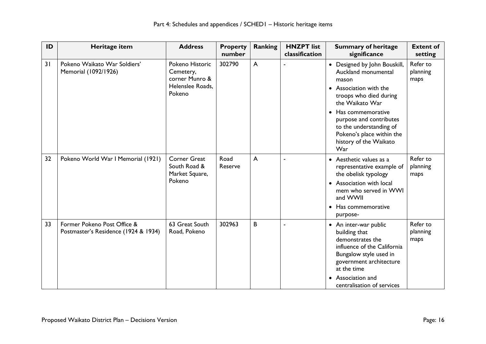| ID | Heritage item                                                       | <b>Address</b>                                                               | <b>Property</b><br>number | <b>Ranking</b> | <b>HNZPT</b> list<br>classification | <b>Summary of heritage</b><br>significance                                                                                                                                                                                                                                   | <b>Extent of</b><br>setting  |
|----|---------------------------------------------------------------------|------------------------------------------------------------------------------|---------------------------|----------------|-------------------------------------|------------------------------------------------------------------------------------------------------------------------------------------------------------------------------------------------------------------------------------------------------------------------------|------------------------------|
| 31 | Pokeno Waikato War Soldiers'<br>Memorial (1092/1926)                | Pokeno Historic<br>Cemetery,<br>corner Munro &<br>Helenslee Roads,<br>Pokeno | 302790                    | $\overline{A}$ |                                     | • Designed by John Bouskill,<br>Auckland monumental<br>mason<br>• Association with the<br>troops who died during<br>the Waikato War<br>Has commemorative<br>purpose and contributes<br>to the understanding of<br>Pokeno's place within the<br>history of the Waikato<br>War | Refer to<br>planning<br>maps |
| 32 | Pokeno World War I Memorial (1921)                                  | <b>Corner Great</b><br>South Road &<br>Market Square,<br>Pokeno              | Road<br>Reserve           | $\overline{A}$ |                                     | • Aesthetic values as a<br>representative example of<br>the obelisk typology<br>• Association with local<br>mem who served in WWI<br>and WWII<br>Has commemorative<br>$\bullet$<br>purpose-                                                                                  | Refer to<br>planning<br>maps |
| 33 | Former Pokeno Post Office &<br>Postmaster's Residence (1924 & 1934) | 63 Great South<br>Road, Pokeno                                               | 302963                    | B              |                                     | • An inter-war public<br>building that<br>demonstrates the<br>influence of the California<br>Bungalow style used in<br>government architecture<br>at the time<br>• Association and<br>centralisation of services                                                             | Refer to<br>planning<br>maps |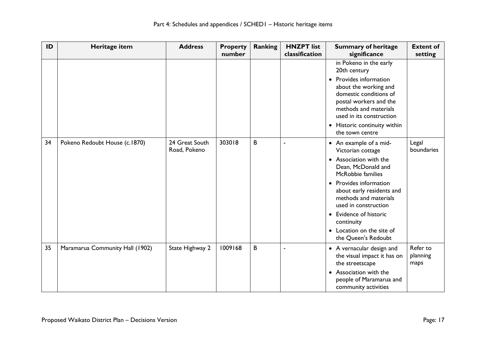| ID | Heritage item                   | <b>Address</b>                 | <b>Property</b><br>number | Ranking | <b>HNZPT</b> list<br>classification | <b>Summary of heritage</b><br>significance                                                                                                                          | <b>Extent of</b><br>setting  |
|----|---------------------------------|--------------------------------|---------------------------|---------|-------------------------------------|---------------------------------------------------------------------------------------------------------------------------------------------------------------------|------------------------------|
|    |                                 |                                |                           |         |                                     | in Pokeno in the early<br>20th century                                                                                                                              |                              |
|    |                                 |                                |                           |         |                                     | Provides information<br>$\bullet$<br>about the working and<br>domestic conditions of<br>postal workers and the<br>methods and materials<br>used in its construction |                              |
|    |                                 |                                |                           |         |                                     | Historic continuity within<br>$\bullet$<br>the town centre                                                                                                          |                              |
| 34 | Pokeno Redoubt House (c.1870)   | 24 Great South<br>Road, Pokeno | 303018                    | B       |                                     | • An example of a mid-<br>Victorian cottage                                                                                                                         | Legal<br>boundaries          |
|    |                                 |                                |                           |         |                                     | Association with the<br>Dean, McDonald and<br>McRobbie families                                                                                                     |                              |
|    |                                 |                                |                           |         |                                     | • Provides information<br>about early residents and<br>methods and materials<br>used in construction                                                                |                              |
|    |                                 |                                |                           |         |                                     | • Evidence of historic<br>continuity                                                                                                                                |                              |
|    |                                 |                                |                           |         |                                     | • Location on the site of<br>the Queen's Redoubt                                                                                                                    |                              |
| 35 | Maramarua Community Hall (1902) | State Highway 2                | 1009168                   | B       |                                     | • A vernacular design and<br>the visual impact it has on<br>the streetscape                                                                                         | Refer to<br>planning<br>maps |
|    |                                 |                                |                           |         |                                     | Association with the<br>people of Maramarua and<br>community activities                                                                                             |                              |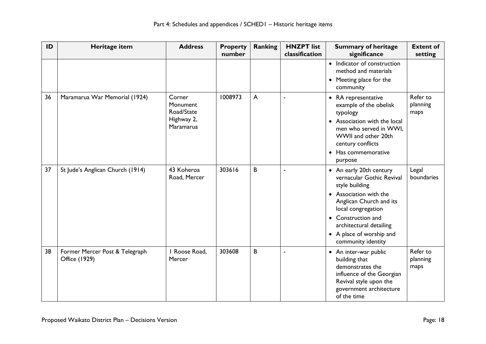| ID | Heritage item                                   | <b>Address</b>                                              | <b>Property</b><br>number | <b>Ranking</b> | <b>HNZPT</b> list<br>classification | <b>Summary of heritage</b><br>significance                                                                                                                                                                                                           | <b>Extent of</b><br>setting  |
|----|-------------------------------------------------|-------------------------------------------------------------|---------------------------|----------------|-------------------------------------|------------------------------------------------------------------------------------------------------------------------------------------------------------------------------------------------------------------------------------------------------|------------------------------|
|    |                                                 |                                                             |                           |                |                                     | • Indicator of construction<br>method and materials<br>• Meeting place for the<br>community                                                                                                                                                          |                              |
| 36 | Maramarua War Memorial (1924)                   | Corner<br>Monument<br>Road/State<br>Highway 2,<br>Maramarua | 1008973                   | A              |                                     | • RA representative<br>example of the obelisk<br>typology<br>• Association with the local<br>men who served in WWI.<br>WWII and other 20th<br>century conflicts<br>Has commemorative<br>$\bullet$<br>purpose                                         | Refer to<br>planning<br>maps |
| 37 | St Jude's Anglican Church (1914)                | 43 Koheroa<br>Road, Mercer                                  | 303616                    | B              |                                     | • An early 20th century<br>vernacular Gothic Revival<br>style building<br>• Association with the<br>Anglican Church and its<br>local congregation<br>• Construction and<br>architectural detailing<br>• A place of worship and<br>community identity | Legal<br>boundaries          |
| 38 | Former Mercer Post & Telegraph<br>Office (1929) | I Roose Road,<br>Mercer                                     | 303608                    | B              | $\blacksquare$                      | • An inter-war public<br>building that<br>demonstrates the<br>influence of the Georgian<br>Revival style upon the<br>government architecture<br>of the time                                                                                          | Refer to<br>planning<br>maps |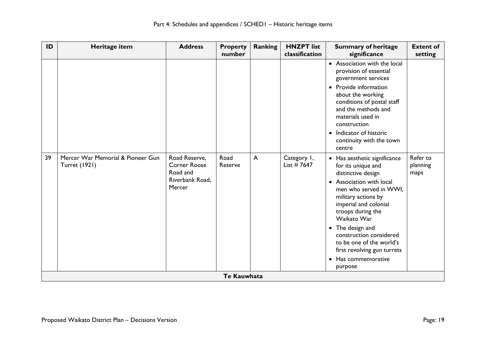| ID | Heritage item                                             | <b>Address</b>                                                                | <b>Property</b><br>number | Ranking | <b>HNZPT</b> list<br>classification | <b>Summary of heritage</b><br>significance                                                                                                                                                                                                                                                                                                                     | <b>Extent of</b><br>setting  |
|----|-----------------------------------------------------------|-------------------------------------------------------------------------------|---------------------------|---------|-------------------------------------|----------------------------------------------------------------------------------------------------------------------------------------------------------------------------------------------------------------------------------------------------------------------------------------------------------------------------------------------------------------|------------------------------|
|    |                                                           |                                                                               |                           |         |                                     | • Association with the local<br>provision of essential<br>government services<br>• Provide information<br>about the working<br>conditions of postal staff<br>and the methods and<br>materials used in<br>construction<br>• Indicator of historic<br>continuity with the town<br>centre                                                                         |                              |
| 39 | Mercer War Memorial & Pioneer Gun<br><b>Turret (1921)</b> | Road Reserve,<br><b>Corner Roose</b><br>Road and<br>Riverbank Road,<br>Mercer | Road<br>Reserve           | A       | Category I,<br>List #7647           | • Has aesthetic significance<br>for its unique and<br>distinctive design<br>• Association with local<br>men who served in WWI,<br>military actions by<br>imperial and colonial<br>troops during the<br>Waikato War<br>• The design and<br>construction considered<br>to be one of the world's<br>first revolving gun turrets<br>• Has commemorative<br>purpose | Refer to<br>planning<br>maps |
|    |                                                           |                                                                               | <b>Te Kauwhata</b>        |         |                                     |                                                                                                                                                                                                                                                                                                                                                                |                              |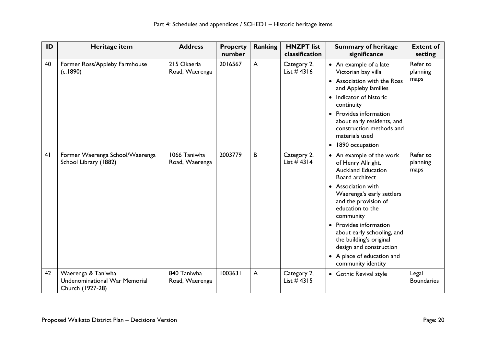| ID | Heritage item                                                                  | <b>Address</b>                 | <b>Property</b><br>number | <b>Ranking</b> | <b>HNZPT</b> list<br>classification | <b>Summary of heritage</b><br>significance                                                                                                                                                                                                                                                                                                                                        | <b>Extent of</b><br>setting  |
|----|--------------------------------------------------------------------------------|--------------------------------|---------------------------|----------------|-------------------------------------|-----------------------------------------------------------------------------------------------------------------------------------------------------------------------------------------------------------------------------------------------------------------------------------------------------------------------------------------------------------------------------------|------------------------------|
| 40 | Former Ross/Appleby Farmhouse<br>(c.1890)                                      | 215 Okaeria<br>Road, Waerenga  | 2016567                   | $\mathsf{A}$   | Category 2,<br>List $#4316$         | • An example of a late<br>Victorian bay villa<br><b>Association with the Ross</b><br>$\bullet$<br>and Appleby families<br>Indicator of historic<br>$\bullet$<br>continuity<br>• Provides information<br>about early residents, and<br>construction methods and<br>materials used<br>1890 occupation<br>$\bullet$                                                                  | Refer to<br>planning<br>maps |
| 41 | Former Waerenga School/Waerenga<br>School Library (1882)                       | 1066 Taniwha<br>Road, Waerenga | 2003779                   | B              | Category 2,<br>List $#4314$         | • An example of the work<br>of Henry Allright,<br><b>Auckland Education</b><br>Board architect<br><b>Association with</b><br>Waerenga's early settlers<br>and the provision of<br>education to the<br>community<br>• Provides information<br>about early schooling, and<br>the building's original<br>design and construction<br>• A place of education and<br>community identity | Refer to<br>planning<br>maps |
| 42 | Waerenga & Taniwha<br><b>Undenominational War Memorial</b><br>Church (1927-28) | 840 Taniwha<br>Road, Waerenga  | 1003631                   | $\overline{A}$ | Category 2,<br>List $#4315$         | • Gothic Revival style                                                                                                                                                                                                                                                                                                                                                            | Legal<br><b>Boundaries</b>   |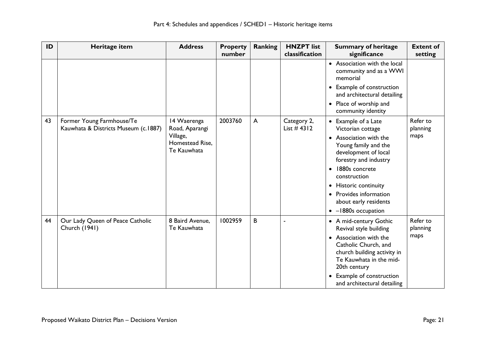| ID | Heritage item                                                     | <b>Address</b>                                                              | <b>Property</b><br>number | Ranking      | <b>HNZPT</b> list<br>classification | <b>Summary of heritage</b><br>significance                                                                                                                                                                                                                                                             | <b>Extent of</b><br>setting  |
|----|-------------------------------------------------------------------|-----------------------------------------------------------------------------|---------------------------|--------------|-------------------------------------|--------------------------------------------------------------------------------------------------------------------------------------------------------------------------------------------------------------------------------------------------------------------------------------------------------|------------------------------|
|    |                                                                   |                                                                             |                           |              |                                     | • Association with the local<br>community and as a WWI<br>memorial<br>• Example of construction<br>and architectural detailing<br>• Place of worship and<br>community identity                                                                                                                         |                              |
| 43 | Former Young Farmhouse/Te<br>Kauwhata & Districts Museum (c.1887) | 14 Waerenga<br>Road, Aparangi<br>Village,<br>Homestead Rise,<br>Te Kauwhata | 2003760                   | $\mathsf{A}$ | Category 2,<br>List $#4312$         | • Example of a Late<br>Victorian cottage<br>Association with the<br>Young family and the<br>development of local<br>forestry and industry<br>1880s concrete<br>$\bullet$<br>construction<br>• Historic continuity<br>• Provides information<br>about early residents<br>-1880s occupation<br>$\bullet$ | Refer to<br>planning<br>maps |
| 44 | Our Lady Queen of Peace Catholic<br>Church (1941)                 | 8 Baird Avenue,<br>Te Kauwhata                                              | 1002959                   | B            |                                     | • A mid-century Gothic<br>Revival style building<br>• Association with the<br>Catholic Church, and<br>church building activity in<br>Te Kauwhata in the mid-<br>20th century<br><b>Example of construction</b><br>and architectural detailing                                                          | Refer to<br>planning<br>maps |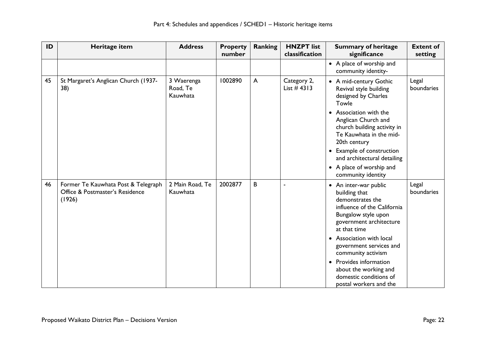| ID | Heritage item                                                                    | <b>Address</b>                     | <b>Property</b><br>number | <b>Ranking</b> | <b>HNZPT</b> list<br>classification | <b>Summary of heritage</b><br>significance                                                                                                                                                                                                                                                                                                    | <b>Extent of</b><br>setting |
|----|----------------------------------------------------------------------------------|------------------------------------|---------------------------|----------------|-------------------------------------|-----------------------------------------------------------------------------------------------------------------------------------------------------------------------------------------------------------------------------------------------------------------------------------------------------------------------------------------------|-----------------------------|
|    |                                                                                  |                                    |                           |                |                                     | • A place of worship and<br>community identity-                                                                                                                                                                                                                                                                                               |                             |
| 45 | St Margaret's Anglican Church (1937-<br>38)                                      | 3 Waerenga<br>Road, Te<br>Kauwhata | 1002890                   | $\mathsf{A}$   | Category 2,<br>List $#4313$         | • A mid-century Gothic<br>Revival style building<br>designed by Charles<br>Towle<br>• Association with the<br>Anglican Church and<br>church building activity in<br>Te Kauwhata in the mid-<br>20th century<br>• Example of construction<br>and architectural detailing<br>• A place of worship and<br>community identity                     | Legal<br>boundaries         |
| 46 | Former Te Kauwhata Post & Telegraph<br>Office & Postmaster's Residence<br>(1926) | 2 Main Road, Te<br>Kauwhata        | 2002877                   | B              |                                     | • An inter-war public<br>building that<br>demonstrates the<br>influence of the California<br>Bungalow style upon<br>government architecture<br>at that time<br>• Association with local<br>government services and<br>community activism<br>Provides information<br>about the working and<br>domestic conditions of<br>postal workers and the | Legal<br>boundaries         |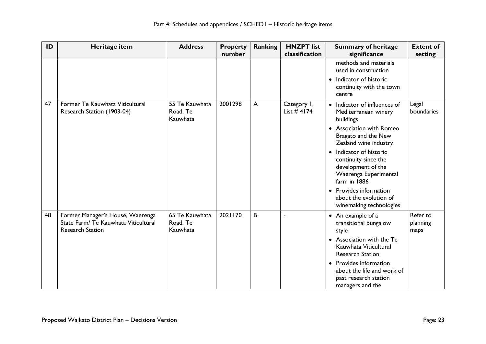| ID | Heritage item                                                                                       | <b>Address</b>                         | <b>Property</b><br>number | <b>Ranking</b> | <b>HNZPT</b> list<br>classification | <b>Summary of heritage</b><br>significance                                                                                                                                                                                                                                                                                                            | <b>Extent of</b><br>setting  |
|----|-----------------------------------------------------------------------------------------------------|----------------------------------------|---------------------------|----------------|-------------------------------------|-------------------------------------------------------------------------------------------------------------------------------------------------------------------------------------------------------------------------------------------------------------------------------------------------------------------------------------------------------|------------------------------|
|    |                                                                                                     |                                        |                           |                |                                     | methods and materials<br>used in construction<br>Indicator of historic<br>$\bullet$<br>continuity with the town<br>centre                                                                                                                                                                                                                             |                              |
| 47 | Former Te Kauwhata Viticultural<br>Research Station (1903-04)                                       | 55 Te Kauwhata<br>Road, Te<br>Kauwhata | 2001298                   | $\mathsf{A}$   | Category I,<br>List $#$ 4174        | Indicator of influences of<br>Mediterranean winery<br>buildings<br>• Association with Romeo<br>Bragato and the New<br>Zealand wine industry<br>Indicator of historic<br>$\bullet$<br>continuity since the<br>development of the<br>Waerenga Experimental<br>farm in 1886<br>Provides information<br>about the evolution of<br>winemaking technologies | Legal<br>boundaries          |
| 48 | Former Manager's House, Waerenga<br>State Farm/ Te Kauwhata Viticultural<br><b>Research Station</b> | 65 Te Kauwhata<br>Road, Te<br>Kauwhata | 2021170                   | B              | ä,                                  | • An example of a<br>transitional bungalow<br>style<br>• Association with the Te<br>Kauwhata Viticultural<br><b>Research Station</b><br>Provides information<br>about the life and work of<br>past research station<br>managers and the                                                                                                               | Refer to<br>planning<br>maps |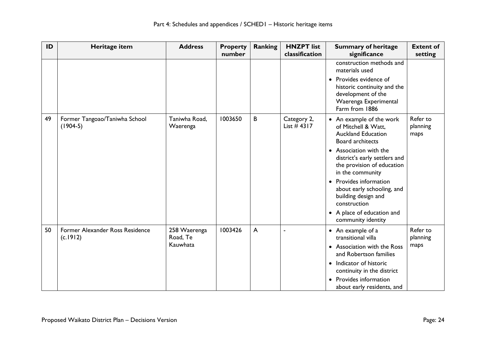| ID | Heritage item                               | <b>Address</b>                       | <b>Property</b><br>number | <b>Ranking</b> | <b>HNZPT</b> list<br>classification | <b>Summary of heritage</b><br>significance                                                                                                                                                                                                                                                                                                                                  | <b>Extent of</b><br>setting  |
|----|---------------------------------------------|--------------------------------------|---------------------------|----------------|-------------------------------------|-----------------------------------------------------------------------------------------------------------------------------------------------------------------------------------------------------------------------------------------------------------------------------------------------------------------------------------------------------------------------------|------------------------------|
|    |                                             |                                      |                           |                |                                     | construction methods and<br>materials used<br>Provides evidence of<br>historic continuity and the<br>development of the<br>Waerenga Experimental<br>Farm from 1886                                                                                                                                                                                                          |                              |
| 49 | Former Tangoao/Taniwha School<br>$(1904-5)$ | Taniwha Road,<br>Waerenga            | 1003650                   | B              | Category 2,<br>List $#4317$         | • An example of the work<br>of Mitchell & Watt,<br><b>Auckland Education</b><br>Board architects<br>• Association with the<br>district's early settlers and<br>the provision of education<br>in the community<br>Provides information<br>$\bullet$<br>about early schooling, and<br>building design and<br>construction<br>• A place of education and<br>community identity | Refer to<br>planning<br>maps |
| 50 | Former Alexander Ross Residence<br>(c.1912) | 258 Waerenga<br>Road, Te<br>Kauwhata | 1003426                   | $\overline{A}$ |                                     | • An example of a<br>transitional villa<br>• Association with the Ross<br>and Robertson families<br>• Indicator of historic<br>continuity in the district<br>Provides information<br>$\bullet$<br>about early residents, and                                                                                                                                                | Refer to<br>planning<br>maps |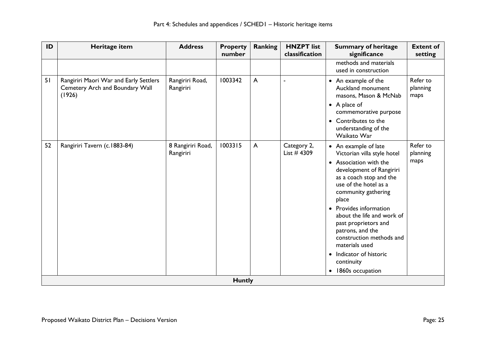| ID | Heritage item                                                                       | <b>Address</b>                 | <b>Property</b><br>number | Ranking        | <b>HNZPT</b> list<br>classification | <b>Summary of heritage</b><br>significance                                                                                                                                                                                                                                                                                                                                                                                         | <b>Extent of</b><br>setting  |
|----|-------------------------------------------------------------------------------------|--------------------------------|---------------------------|----------------|-------------------------------------|------------------------------------------------------------------------------------------------------------------------------------------------------------------------------------------------------------------------------------------------------------------------------------------------------------------------------------------------------------------------------------------------------------------------------------|------------------------------|
|    |                                                                                     |                                |                           |                |                                     | methods and materials<br>used in construction                                                                                                                                                                                                                                                                                                                                                                                      |                              |
| 51 | Rangiriri Maori War and Early Settlers<br>Cemetery Arch and Boundary Wall<br>(1926) | Rangiriri Road,<br>Rangiriri   | 1003342                   | $\overline{A}$ | ÷                                   | • An example of the<br>Auckland monument<br>masons, Mason & McNab<br>• A place of<br>commemorative purpose<br>• Contributes to the<br>understanding of the<br>Waikato War                                                                                                                                                                                                                                                          | Refer to<br>planning<br>maps |
| 52 | Rangiriri Tavern (c.1883-84)                                                        | 8 Rangiriri Road,<br>Rangiriri | 1003315                   | $\mathsf{A}$   | Category 2,<br>List $#4309$         | • An example of late<br>Victorian villa style hotel<br>• Association with the<br>development of Rangiriri<br>as a coach stop and the<br>use of the hotel as a<br>community gathering<br>place<br>Provides information<br>about the life and work of<br>past proprietors and<br>patrons, and the<br>construction methods and<br>materials used<br>Indicator of historic<br>$\bullet$<br>continuity<br>1860s occupation<br>$\bullet$ | Refer to<br>planning<br>maps |
|    |                                                                                     |                                | <b>Huntly</b>             |                |                                     |                                                                                                                                                                                                                                                                                                                                                                                                                                    |                              |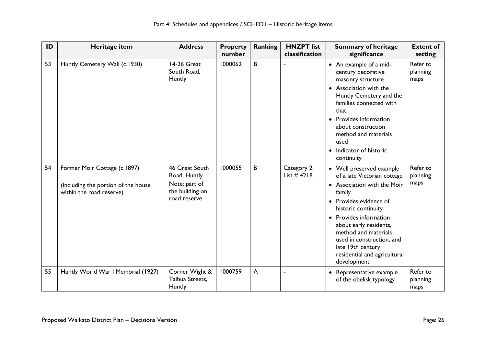| ID | Heritage item                                                                                   | <b>Address</b>                                                                     | <b>Property</b><br>number | <b>Ranking</b> | <b>HNZPT</b> list<br>classification | <b>Summary of heritage</b><br>significance                                                                                                                                                                                                                                                                                   | <b>Extent of</b><br>setting  |
|----|-------------------------------------------------------------------------------------------------|------------------------------------------------------------------------------------|---------------------------|----------------|-------------------------------------|------------------------------------------------------------------------------------------------------------------------------------------------------------------------------------------------------------------------------------------------------------------------------------------------------------------------------|------------------------------|
| 53 | Huntly Cemetery Wall (c.1930)                                                                   | 14-26 Great<br>South Road,<br>Huntly                                               | 1000062                   | B              |                                     | • An example of a mid-<br>century decorative<br>masonry structure<br>• Association with the<br>Huntly Cemetery and the<br>families connected with<br>that.<br>Provides information<br>about construction<br>method and materials<br>used<br>• Indicator of historic<br>continuity                                            | Refer to<br>planning<br>maps |
| 54 | Former Moir Cottage (c.1897)<br>(Including the portion of the house<br>within the road reserve) | 46 Great South<br>Road, Huntly<br>Note: part of<br>the building on<br>road reserve | 1000055                   | B              | Category 2,<br>List $#4218$         | • Well preserved example<br>of a late Victorian cottage<br>• Association with the Moir<br>family<br>Provides evidence of<br>historic continuity<br>• Provides information<br>about early residents,<br>method and materials<br>used in construction, and<br>late 19th century<br>residential and agricultural<br>development | Refer to<br>planning<br>maps |
| 55 | Huntly World War I Memorial (1927)                                                              | Corner Wight &<br>Taihua Streets,<br>Huntly                                        | 1000759                   | $\mathsf{A}$   |                                     | Representative example<br>of the obelisk typology                                                                                                                                                                                                                                                                            | Refer to<br>planning<br>maps |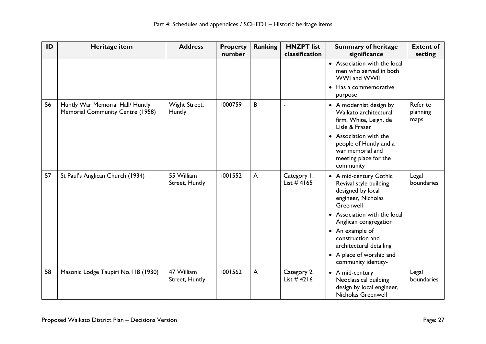| ID | Heritage item                                                        | <b>Address</b>               | <b>Property</b><br>number | <b>Ranking</b> | <b>HNZPT</b> list<br>classification | <b>Summary of heritage</b><br>significance                                                               | <b>Extent of</b><br>setting  |
|----|----------------------------------------------------------------------|------------------------------|---------------------------|----------------|-------------------------------------|----------------------------------------------------------------------------------------------------------|------------------------------|
|    |                                                                      |                              |                           |                |                                     | • Association with the local<br>men who served in both<br>WWI and WWII                                   |                              |
|    |                                                                      |                              |                           |                |                                     | Has a commemorative<br>purpose                                                                           |                              |
| 56 | Huntly War Memorial Hall/ Huntly<br>Memorial Community Centre (1958) | Wight Street,<br>Huntly      | 1000759                   | B              |                                     | • A modernist design by<br>Waikato architectural<br>firm, White, Leigh, de<br>Lisle & Fraser             | Refer to<br>planning<br>maps |
|    |                                                                      |                              |                           |                |                                     | Association with the<br>people of Huntly and a<br>war memorial and<br>meeting place for the<br>community |                              |
| 57 | St Paul's Anglican Church (1934)                                     | 55 William<br>Street, Huntly | 1001552                   | $\mathsf{A}$   | Category I,<br>List $#4165$         | • A mid-century Gothic<br>Revival style building<br>designed by local<br>engineer, Nicholas<br>Greenwell | Legal<br>boundaries          |
|    |                                                                      |                              |                           |                |                                     | • Association with the local<br>Anglican congregation                                                    |                              |
|    |                                                                      |                              |                           |                |                                     | • An example of<br>construction and<br>architectural detailing                                           |                              |
|    |                                                                      |                              |                           |                |                                     | • A place of worship and<br>community identity-                                                          |                              |
| 58 | Masonic Lodge Taupiri No.118 (1930)                                  | 47 William<br>Street, Huntly | 1001562                   | $\overline{A}$ | Category 2,<br>List $#4216$         | • A mid-century<br>Neoclassical building<br>design by local engineer,<br>Nicholas Greenwell              | Legal<br>boundaries          |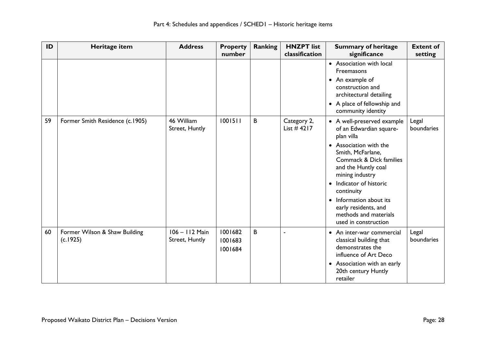| ID | Heritage item                             | <b>Address</b>                   | <b>Property</b><br>number     | <b>Ranking</b> | <b>HNZPT</b> list<br>classification | <b>Summary of heritage</b><br>significance                                                                                                                                                                                                                                                                                                                 | <b>Extent of</b><br>setting |
|----|-------------------------------------------|----------------------------------|-------------------------------|----------------|-------------------------------------|------------------------------------------------------------------------------------------------------------------------------------------------------------------------------------------------------------------------------------------------------------------------------------------------------------------------------------------------------------|-----------------------------|
|    |                                           |                                  |                               |                |                                     | • Association with local<br><b>Freemasons</b><br>• An example of<br>construction and<br>architectural detailing<br>• A place of fellowship and<br>community identity                                                                                                                                                                                       |                             |
| 59 | Former Smith Residence (c.1905)           | 46 William<br>Street, Huntly     | 1001511                       | B              | Category 2,<br>List $#4217$         | • A well-preserved example  <br>of an Edwardian square-<br>plan villa<br>Association with the<br>$\bullet$<br>Smith, McFarlane,<br>Commack & Dick families<br>and the Huntly coal<br>mining industry<br>Indicator of historic<br>$\bullet$<br>continuity<br>Information about its<br>early residents, and<br>methods and materials<br>used in construction | Legal<br>boundaries         |
| 60 | Former Wilson & Shaw Building<br>(c.1925) | 106 - 112 Main<br>Street, Huntly | 1001682<br>1001683<br>1001684 | B              |                                     | An inter-war commercial<br>$\bullet$<br>classical building that<br>demonstrates the<br>influence of Art Deco<br>• Association with an early<br>20th century Huntly<br>retailer                                                                                                                                                                             | Legal<br>boundaries         |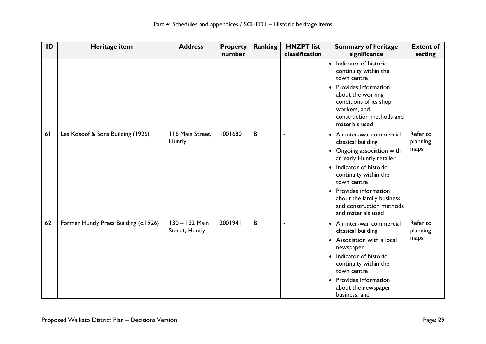| ID | Heritage item                         | <b>Address</b>                   | <b>Property</b><br>number | <b>Ranking</b> | <b>HNZPT</b> list<br>classification | <b>Summary of heritage</b><br>significance                                                                                                                                                                                                                                             | <b>Extent of</b><br>setting  |
|----|---------------------------------------|----------------------------------|---------------------------|----------------|-------------------------------------|----------------------------------------------------------------------------------------------------------------------------------------------------------------------------------------------------------------------------------------------------------------------------------------|------------------------------|
|    |                                       |                                  |                           |                |                                     | • Indicator of historic<br>continuity within the<br>town centre<br>Provides information<br>$\bullet$<br>about the working<br>conditions of its shop<br>workers, and<br>construction methods and<br>materials used                                                                      |                              |
| 61 | Les Kosoof & Sons Building (1926)     | 116 Main Street,<br>Huntly       | 1001680                   | B              |                                     | • An inter-war commercial<br>classical building<br>• Ongoing association with<br>an early Huntly retailer<br>• Indicator of historic<br>continuity within the<br>town centre<br>• Provides information<br>about the family business,<br>and construction methods<br>and materials used | Refer to<br>planning<br>maps |
| 62 | Former Huntly Press Building (c.1926) | 130 - 132 Main<br>Street, Huntly | 2001941                   | B              |                                     | • An inter-war commercial<br>classical building<br>• Association with a local<br>newspaper<br>• Indicator of historic<br>continuity within the<br>town centre<br>• Provides information<br>about the newspaper<br>business, and                                                        | Refer to<br>planning<br>maps |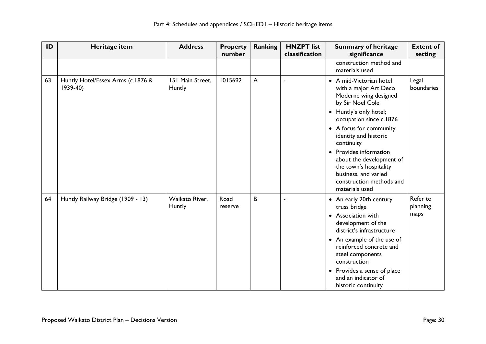| ID | Heritage item                                  | <b>Address</b>             | <b>Property</b><br>number | <b>Ranking</b> | <b>HNZPT</b> list<br>classification | <b>Summary of heritage</b><br>significance                                                                                                                                                                                                                                                                                                                               | <b>Extent of</b><br>setting  |
|----|------------------------------------------------|----------------------------|---------------------------|----------------|-------------------------------------|--------------------------------------------------------------------------------------------------------------------------------------------------------------------------------------------------------------------------------------------------------------------------------------------------------------------------------------------------------------------------|------------------------------|
|    |                                                |                            |                           |                |                                     | construction method and<br>materials used                                                                                                                                                                                                                                                                                                                                |                              |
| 63 | Huntly Hotel/Essex Arms (c.1876 &<br>$1939-40$ | 151 Main Street,<br>Huntly | 1015692                   | $\mathsf{A}$   | ä,                                  | • A mid-Victorian hotel<br>with a major Art Deco<br>Moderne wing designed<br>by Sir Noel Cole<br>• Huntly's only hotel;<br>occupation since c.1876<br>• A focus for community<br>identity and historic<br>continuity<br>Provides information<br>about the development of<br>the town's hospitality<br>business, and varied<br>construction methods and<br>materials used | Legal<br>boundaries          |
| 64 | Huntly Railway Bridge (1909 - 13)              | Waikato River,<br>Huntly   | Road<br>reserve           | B              | ÷,                                  | • An early 20th century<br>truss bridge<br>• Association with<br>development of the<br>district's infrastructure<br>• An example of the use of<br>reinforced concrete and<br>steel components<br>construction<br>Provides a sense of place<br>$\bullet$<br>and an indicator of<br>historic continuity                                                                    | Refer to<br>planning<br>maps |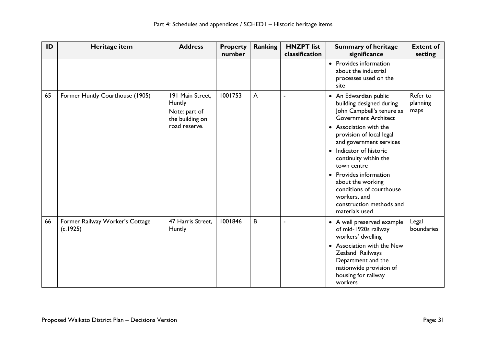| ID | Heritage item                               | <b>Address</b>                                                                  | <b>Property</b><br>number | <b>Ranking</b> | <b>HNZPT</b> list<br>classification | <b>Summary of heritage</b><br>significance                                                                                                                                                                                                                                                                                                                                                                            | <b>Extent of</b><br>setting  |
|----|---------------------------------------------|---------------------------------------------------------------------------------|---------------------------|----------------|-------------------------------------|-----------------------------------------------------------------------------------------------------------------------------------------------------------------------------------------------------------------------------------------------------------------------------------------------------------------------------------------------------------------------------------------------------------------------|------------------------------|
|    |                                             |                                                                                 |                           |                |                                     | • Provides information<br>about the industrial<br>processes used on the<br>site                                                                                                                                                                                                                                                                                                                                       |                              |
| 65 | Former Huntly Courthouse (1905)             | 191 Main Street,<br>Huntly<br>Note: part of<br>the building on<br>road reserve. | 1001753                   | $\mathsf{A}$   | ٠                                   | • An Edwardian public<br>building designed during<br>John Campbell's tenure as<br><b>Government Architect</b><br>• Association with the<br>provision of local legal<br>and government services<br>Indicator of historic<br>$\bullet$<br>continuity within the<br>town centre<br>• Provides information<br>about the working<br>conditions of courthouse<br>workers, and<br>construction methods and<br>materials used | Refer to<br>planning<br>maps |
| 66 | Former Railway Worker's Cottage<br>(c.1925) | 47 Harris Street,<br>Huntly                                                     | 1001846                   | B              |                                     | • A well preserved example<br>of mid-1920s railway<br>workers' dwelling<br>Association with the New<br>$\bullet$<br>Zealand Railways<br>Department and the<br>nationwide provision of<br>housing for railway<br>workers                                                                                                                                                                                               | Legal<br>boundaries          |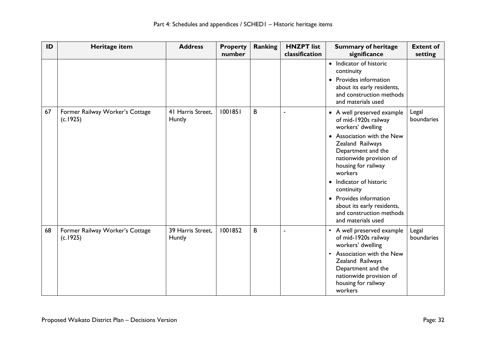| ID | Heritage item                               | <b>Address</b>              | <b>Property</b><br>number | <b>Ranking</b> | <b>HNZPT</b> list<br>classification | <b>Summary of heritage</b><br>significance                                                                                                                                                                                                                                                                                                                                            | <b>Extent of</b><br>setting |
|----|---------------------------------------------|-----------------------------|---------------------------|----------------|-------------------------------------|---------------------------------------------------------------------------------------------------------------------------------------------------------------------------------------------------------------------------------------------------------------------------------------------------------------------------------------------------------------------------------------|-----------------------------|
|    |                                             |                             |                           |                |                                     | • Indicator of historic<br>continuity<br>Provides information<br>$\bullet$<br>about its early residents,<br>and construction methods<br>and materials used                                                                                                                                                                                                                            |                             |
| 67 | Former Railway Worker's Cottage<br>(c.1925) | 41 Harris Street.<br>Huntly | 1001851                   | B              | ä,                                  | • A well preserved example<br>of mid-1920s railway<br>workers' dwelling<br>Association with the New<br>$\bullet$<br>Zealand Railways<br>Department and the<br>nationwide provision of<br>housing for railway<br>workers<br>Indicator of historic<br>$\bullet$<br>continuity<br>• Provides information<br>about its early residents,<br>and construction methods<br>and materials used | Legal<br>boundaries         |
| 68 | Former Railway Worker's Cottage<br>(c.1925) | 39 Harris Street,<br>Huntly | 1001852                   | B              | $\blacksquare$                      | • A well preserved example<br>of mid-1920s railway<br>workers' dwelling<br>Association with the New<br>$\bullet$<br>Zealand Railways<br>Department and the<br>nationwide provision of<br>housing for railway<br>workers                                                                                                                                                               | Legal<br>boundaries         |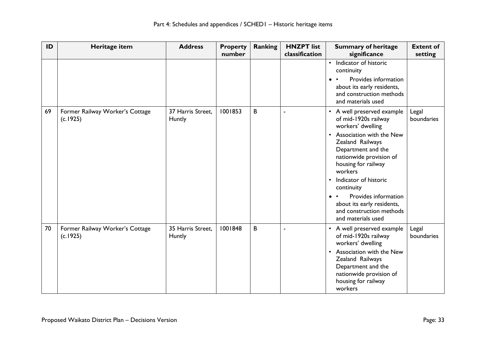| ID | Heritage item                               | <b>Address</b>              | <b>Property</b><br>number | Ranking | <b>HNZPT</b> list<br>classification | <b>Summary of heritage</b><br>significance                                                                                                                                                                                                                                                                                                                                          | <b>Extent of</b><br>setting |
|----|---------------------------------------------|-----------------------------|---------------------------|---------|-------------------------------------|-------------------------------------------------------------------------------------------------------------------------------------------------------------------------------------------------------------------------------------------------------------------------------------------------------------------------------------------------------------------------------------|-----------------------------|
|    |                                             |                             |                           |         |                                     | Indicator of historic<br>$\bullet$<br>continuity<br>Provides information<br>about its early residents,<br>and construction methods<br>and materials used                                                                                                                                                                                                                            |                             |
| 69 | Former Railway Worker's Cottage<br>(c.1925) | 37 Harris Street.<br>Huntly | 1001853                   | B       | ÷                                   | • A well preserved example<br>of mid-1920s railway<br>workers' dwelling<br>Association with the New<br>$\bullet$<br>Zealand Railways<br>Department and the<br>nationwide provision of<br>housing for railway<br>workers<br>Indicator of historic<br>$\bullet$<br>continuity<br>Provides information<br>about its early residents,<br>and construction methods<br>and materials used | Legal<br>boundaries         |
| 70 | Former Railway Worker's Cottage<br>(c.1925) | 35 Harris Street,<br>Huntly | 1001848                   | B       |                                     | • A well preserved example<br>of mid-1920s railway<br>workers' dwelling<br>Association with the New<br>$\bullet$<br>Zealand Railways<br>Department and the<br>nationwide provision of<br>housing for railway<br>workers                                                                                                                                                             | Legal<br>boundaries         |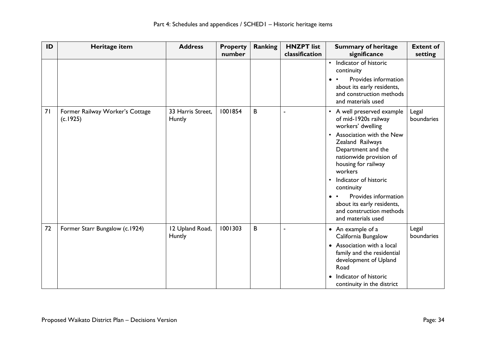| ID | Heritage item                               | <b>Address</b>              | <b>Property</b><br>number | Ranking | <b>HNZPT</b> list<br>classification | <b>Summary of heritage</b><br>significance                                                                                                                                                                                                                                                                                                                                          | <b>Extent of</b><br>setting |
|----|---------------------------------------------|-----------------------------|---------------------------|---------|-------------------------------------|-------------------------------------------------------------------------------------------------------------------------------------------------------------------------------------------------------------------------------------------------------------------------------------------------------------------------------------------------------------------------------------|-----------------------------|
|    |                                             |                             |                           |         |                                     | Indicator of historic<br>$\bullet$<br>continuity<br>Provides information<br>$\bullet$<br>about its early residents,<br>and construction methods<br>and materials used                                                                                                                                                                                                               |                             |
| 71 | Former Railway Worker's Cottage<br>(c.1925) | 33 Harris Street.<br>Huntly | 1001854                   | B       |                                     | • A well preserved example<br>of mid-1920s railway<br>workers' dwelling<br>Association with the New<br>$\bullet$<br>Zealand Railways<br>Department and the<br>nationwide provision of<br>housing for railway<br>workers<br>Indicator of historic<br>$\bullet$<br>continuity<br>Provides information<br>about its early residents,<br>and construction methods<br>and materials used | Legal<br>boundaries         |
| 72 | Former Starr Bungalow (c.1924)              | 12 Upland Road,<br>Huntly   | 1001303                   | B       | ÷,                                  | • An example of a<br>California Bungalow<br>• Association with a local<br>family and the residential<br>development of Upland<br>Road<br>Indicator of historic<br>$\bullet$<br>continuity in the district                                                                                                                                                                           | Legal<br>boundaries         |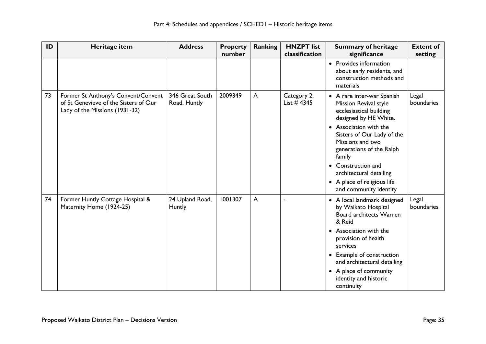| ID | Heritage item                                                                                                  | <b>Address</b>                  | <b>Property</b><br>number | <b>Ranking</b> | <b>HNZPT</b> list<br>classification | <b>Summary of heritage</b><br>significance                                                                     | <b>Extent of</b><br>setting |
|----|----------------------------------------------------------------------------------------------------------------|---------------------------------|---------------------------|----------------|-------------------------------------|----------------------------------------------------------------------------------------------------------------|-----------------------------|
|    |                                                                                                                |                                 |                           |                |                                     | • Provides information<br>about early residents, and<br>construction methods and<br>materials                  |                             |
| 73 | Former St Anthony's Convent/Convent<br>of St Genevieve of the Sisters of Our<br>Lady of the Missions (1931-32) | 346 Great South<br>Road, Huntly | 2009349                   | A              | Category 2,<br>List $#$ 4345        | • A rare inter-war Spanish<br>Mission Revival style<br>ecclesiastical building<br>designed by HE White.        | Legal<br>boundaries         |
|    |                                                                                                                |                                 |                           |                |                                     | • Association with the<br>Sisters of Our Lady of the<br>Missions and two<br>generations of the Ralph<br>family |                             |
|    |                                                                                                                |                                 |                           |                |                                     | • Construction and<br>architectural detailing                                                                  |                             |
|    |                                                                                                                |                                 |                           |                |                                     | • A place of religious life<br>and community identity                                                          |                             |
| 74 | Former Huntly Cottage Hospital &<br>Maternity Home (1924-25)                                                   | 24 Upland Road,<br>Huntly       | 1001307                   | $\overline{A}$ |                                     | • A local landmark designed<br>by Waikato Hospital<br><b>Board architects Warren</b><br>& Reid                 | Legal<br>boundaries         |
|    |                                                                                                                |                                 |                           |                |                                     | • Association with the<br>provision of health<br>services                                                      |                             |
|    |                                                                                                                |                                 |                           |                |                                     | • Example of construction<br>and architectural detailing                                                       |                             |
|    |                                                                                                                |                                 |                           |                |                                     | • A place of community<br>identity and historic<br>continuity                                                  |                             |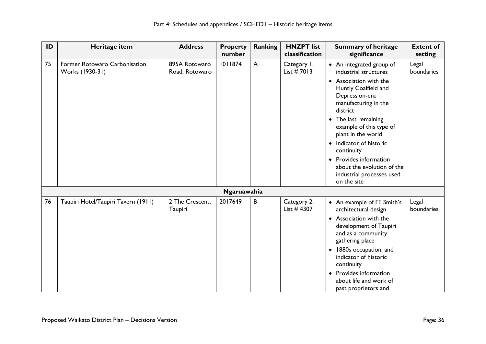| ID | Heritage item                                    | <b>Address</b>                  | <b>Property</b><br>number | <b>Ranking</b> | <b>HNZPT</b> list<br>classification | <b>Summary of heritage</b><br>significance                                                                                                                                                                                                                                                                                                                                                 | <b>Extent of</b><br>setting |
|----|--------------------------------------------------|---------------------------------|---------------------------|----------------|-------------------------------------|--------------------------------------------------------------------------------------------------------------------------------------------------------------------------------------------------------------------------------------------------------------------------------------------------------------------------------------------------------------------------------------------|-----------------------------|
| 75 | Former Rotowaro Carbonisation<br>Works (1930-31) | 895A Rotowaro<br>Road, Rotowaro | 1011874                   | $\mathsf{A}$   | Category I,<br>List $# 7013$        | • An integrated group of<br>industrial structures<br>• Association with the<br>Huntly Coalfield and<br>Depression-era<br>manufacturing in the<br>district<br>The last remaining<br>$\bullet$<br>example of this type of<br>plant in the world<br>• Indicator of historic<br>continuity<br>• Provides information<br>about the evolution of the<br>industrial processes used<br>on the site | Legal<br>boundaries         |
|    |                                                  |                                 | Ngaruawahia               |                |                                     |                                                                                                                                                                                                                                                                                                                                                                                            |                             |
| 76 | Taupiri Hotel/Taupiri Tavern (1911)              | 2 The Crescent,<br>Taupiri      | 2017649                   | B              | Category 2,<br>List $#$ 4307        | • An example of FE Smith's<br>architectural design<br>• Association with the<br>development of Taupiri<br>and as a community<br>gathering place<br>1880s occupation, and<br>$\bullet$<br>indicator of historic<br>continuity<br>Provides information<br>$\bullet$<br>about life and work of<br>past proprietors and                                                                        | Legal<br>boundaries         |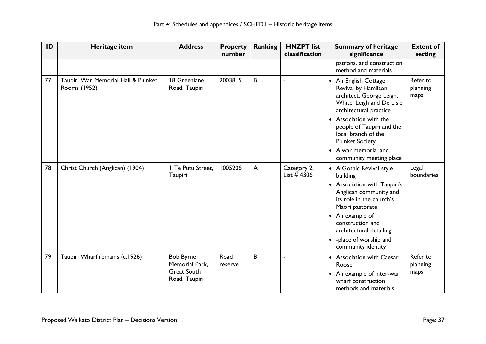| ID | Heritage item                                       | <b>Address</b>                                                            | <b>Property</b><br>number | <b>Ranking</b> | <b>HNZPT</b> list<br>classification | <b>Summary of heritage</b><br>significance                                                                                                                                                                                                                                                | <b>Extent of</b><br>setting  |
|----|-----------------------------------------------------|---------------------------------------------------------------------------|---------------------------|----------------|-------------------------------------|-------------------------------------------------------------------------------------------------------------------------------------------------------------------------------------------------------------------------------------------------------------------------------------------|------------------------------|
|    |                                                     |                                                                           |                           |                |                                     | patrons, and construction<br>method and materials                                                                                                                                                                                                                                         |                              |
| 77 | Taupiri War Memorial Hall & Plunket<br>Rooms (1952) | 18 Greenlane<br>Road, Taupiri                                             | 2003815                   | B              | Î,                                  | • An English Cottage<br>Revival by Hamilton<br>architect, George Leigh,<br>White, Leigh and De Lisle<br>architectural practice<br>• Association with the<br>people of Taupiri and the<br>local branch of the<br><b>Plunket Society</b><br>• A war memorial and<br>community meeting place | Refer to<br>planning<br>maps |
| 78 | Christ Church (Anglican) (1904)                     | I Te Putu Street,<br>Taupiri                                              | 1005206                   | $\mathsf{A}$   | Category 2,<br>List $#$ 4306        | • A Gothic Revival style<br>building<br>• Association with Taupiri's<br>Anglican community and<br>its role in the church's<br>Maori pastorate<br>• An example of<br>construction and<br>architectural detailing<br>• - place of worship and<br>community identity                         | Legal<br>boundaries          |
| 79 | Taupiri Wharf remains (c.1926)                      | <b>Bob Byrne</b><br>Memorial Park,<br><b>Great South</b><br>Road, Taupiri | Road<br>reserve           | B              | ÷,                                  | • Association with Caesar<br>Roose<br>• An example of inter-war<br>wharf construction<br>methods and materials                                                                                                                                                                            | Refer to<br>planning<br>maps |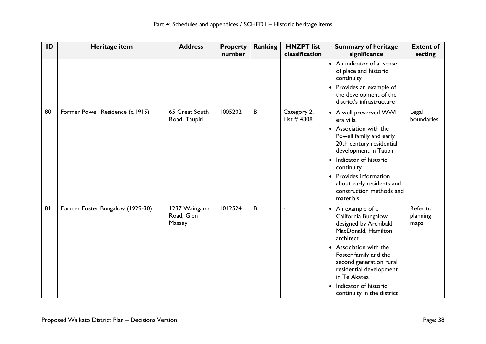| ID | Heritage item                    | <b>Address</b>                        | <b>Property</b><br>number | <b>Ranking</b> | <b>HNZPT</b> list<br>classification | <b>Summary of heritage</b><br>significance                                                                            | <b>Extent of</b><br>setting  |
|----|----------------------------------|---------------------------------------|---------------------------|----------------|-------------------------------------|-----------------------------------------------------------------------------------------------------------------------|------------------------------|
|    |                                  |                                       |                           |                |                                     | • An indicator of a sense<br>of place and historic<br>continuity                                                      |                              |
|    |                                  |                                       |                           |                |                                     | • Provides an example of<br>the development of the<br>district's infrastructure                                       |                              |
| 80 | Former Powell Residence (c.1915) | 65 Great South<br>Road, Taupiri       | 1005202                   | B              | Category 2,<br>List #4308           | • A well preserved WWI-<br>era villa                                                                                  | Legal<br>boundaries          |
|    |                                  |                                       |                           |                |                                     | • Association with the<br>Powell family and early<br>20th century residential<br>development in Taupiri               |                              |
|    |                                  |                                       |                           |                |                                     | • Indicator of historic<br>continuity                                                                                 |                              |
|    |                                  |                                       |                           |                |                                     | • Provides information<br>about early residents and<br>construction methods and<br>materials                          |                              |
| 81 | Former Foster Bungalow (1929-30) | 1237 Waingaro<br>Road, Glen<br>Massey | 1012524                   | B              | ä,                                  | • An example of a<br>California Bungalow<br>designed by Archibald<br>MacDonald, Hamilton<br>architect                 | Refer to<br>planning<br>maps |
|    |                                  |                                       |                           |                |                                     | • Association with the<br>Foster family and the<br>second generation rural<br>residential development<br>in Te Akatea |                              |
|    |                                  |                                       |                           |                |                                     | Indicator of historic<br>$\bullet$<br>continuity in the district                                                      |                              |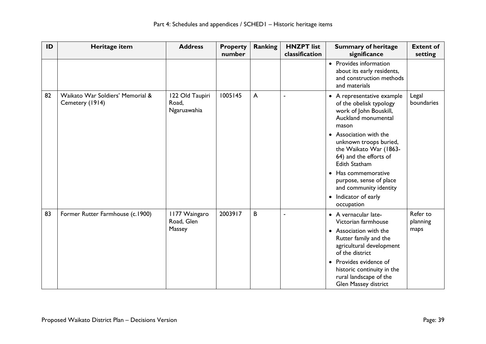| ID | Heritage item                                       | <b>Address</b>                          | <b>Property</b><br>number | <b>Ranking</b> | <b>HNZPT</b> list<br>classification | <b>Summary of heritage</b><br>significance                                                                                                    | <b>Extent of</b><br>setting  |
|----|-----------------------------------------------------|-----------------------------------------|---------------------------|----------------|-------------------------------------|-----------------------------------------------------------------------------------------------------------------------------------------------|------------------------------|
|    |                                                     |                                         |                           |                |                                     | • Provides information<br>about its early residents,<br>and construction methods<br>and materials                                             |                              |
| 82 | Waikato War Soldiers' Memorial &<br>Cemetery (1914) | 122 Old Taupiri<br>Road,<br>Ngaruawahia | 1005145                   | $\overline{A}$ | ä,                                  | • A representative example<br>of the obelisk typology<br>work of John Bouskill,<br>Auckland monumental<br>mason                               | Legal<br>boundaries          |
|    |                                                     |                                         |                           |                |                                     | • Association with the<br>unknown troops buried,<br>the Waikato War (1863-<br>64) and the efforts of<br><b>Edith Statham</b>                  |                              |
|    |                                                     |                                         |                           |                |                                     | • Has commemorative<br>purpose, sense of place<br>and community identity                                                                      |                              |
|    |                                                     |                                         |                           |                |                                     | Indicator of early<br>$\bullet$<br>occupation                                                                                                 |                              |
| 83 | Former Rutter Farmhouse (c.1900)                    | 1177 Waingaro<br>Road, Glen<br>Massey   | 2003917                   | B              | ä,                                  | • A vernacular late-<br>Victorian farmhouse<br>• Association with the<br>Rutter family and the<br>agricultural development<br>of the district | Refer to<br>planning<br>maps |
|    |                                                     |                                         |                           |                |                                     | Provides evidence of<br>$\bullet$<br>historic continuity in the<br>rural landscape of the<br>Glen Massey district                             |                              |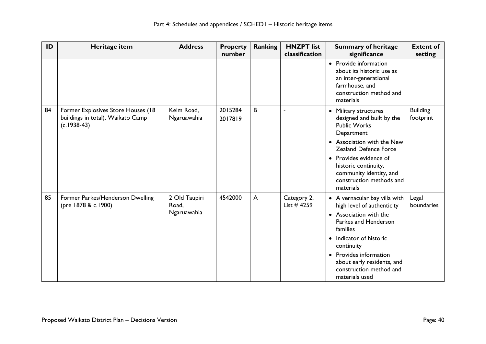| ID | Heritage item                                                                            | <b>Address</b>                        | <b>Property</b><br>number | <b>Ranking</b> | <b>HNZPT</b> list<br>classification | <b>Summary of heritage</b><br>significance                                                                                                                                                                                                                                         | <b>Extent of</b><br>setting  |
|----|------------------------------------------------------------------------------------------|---------------------------------------|---------------------------|----------------|-------------------------------------|------------------------------------------------------------------------------------------------------------------------------------------------------------------------------------------------------------------------------------------------------------------------------------|------------------------------|
|    |                                                                                          |                                       |                           |                |                                     | • Provide information<br>about its historic use as<br>an inter-generational<br>farmhouse, and<br>construction method and<br>materials                                                                                                                                              |                              |
| 84 | Former Explosives Store Houses (18<br>buildings in total), Waikato Camp<br>$(c.1938-43)$ | Kelm Road,<br>Ngaruawahia             | 2015284<br>2017819        | B              |                                     | Military structures<br>designed and built by the<br><b>Public Works</b><br>Department<br>• Association with the New<br>Zealand Defence Force<br>• Provides evidence of<br>historic continuity,<br>community identity, and<br>construction methods and<br>materials                 | <b>Building</b><br>footprint |
| 85 | Former Parkes/Henderson Dwelling<br>(pre 1878 & c.1900)                                  | 2 Old Taupiri<br>Road,<br>Ngaruawahia | 4542000                   | $\mathsf{A}$   | Category 2,<br>List $#4259$         | • A vernacular bay villa with<br>high level of authenticity<br>• Association with the<br>Parkes and Henderson<br>families<br>Indicator of historic<br>$\bullet$<br>continuity<br>• Provides information<br>about early residents, and<br>construction method and<br>materials used | Legal<br>boundaries          |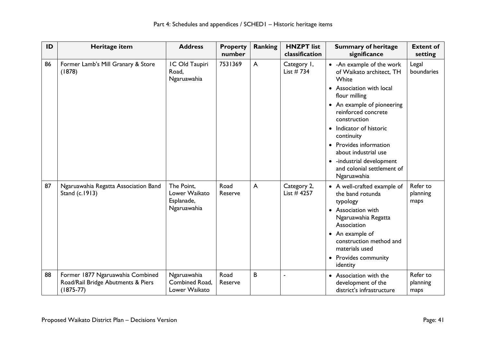| ID | Heritage item                                                                           | <b>Address</b>                                           | <b>Property</b><br>number | <b>Ranking</b> | <b>HNZPT</b> list<br>classification | <b>Summary of heritage</b><br>significance                                                               | <b>Extent of</b><br>setting  |
|----|-----------------------------------------------------------------------------------------|----------------------------------------------------------|---------------------------|----------------|-------------------------------------|----------------------------------------------------------------------------------------------------------|------------------------------|
| 86 | Former Lamb's Mill Granary & Store<br>(1878)                                            | IC Old Taupiri<br>Road,<br>Ngaruawahia                   | 7531369                   | A              | Category I,<br>List $# 734$         | • - An example of the work<br>of Waikato architect, TH<br>White                                          | Legal<br>boundaries          |
|    |                                                                                         |                                                          |                           |                |                                     | Association with local<br>$\bullet$<br>flour milling                                                     |                              |
|    |                                                                                         |                                                          |                           |                |                                     | • An example of pioneering<br>reinforced concrete<br>construction                                        |                              |
|    |                                                                                         |                                                          |                           |                |                                     | • Indicator of historic<br>continuity                                                                    |                              |
|    |                                                                                         |                                                          |                           |                |                                     | • Provides information<br>about industrial use                                                           |                              |
|    |                                                                                         |                                                          |                           |                |                                     | • -industrial development<br>and colonial settlement of<br>Ngaruawahia                                   |                              |
| 87 | Ngaruawahia Regatta Association Band<br>Stand (c.1913)                                  | The Point.<br>Lower Waikato<br>Esplanade,<br>Ngaruawahia | Road<br>Reserve           | $\overline{A}$ | Category 2,<br>List $#4257$         | • A well-crafted example of<br>the band rotunda<br>typology<br>• Association with<br>Ngaruawahia Regatta | Refer to<br>planning<br>maps |
|    |                                                                                         |                                                          |                           |                |                                     | Association<br>• An example of<br>construction method and<br>materials used                              |                              |
|    |                                                                                         |                                                          |                           |                |                                     | • Provides community<br>identity                                                                         |                              |
| 88 | Former 1877 Ngaruawahia Combined<br>Road/Rail Bridge Abutments & Piers<br>$(1875 - 77)$ | Ngaruawahia<br>Combined Road,<br>Lower Waikato           | Road<br>Reserve           | B              |                                     | Association with the<br>development of the<br>district's infrastructure                                  | Refer to<br>planning<br>maps |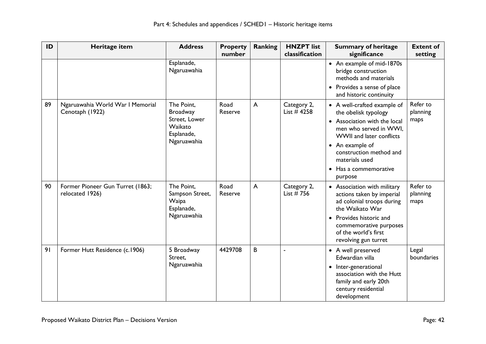| ID | Heritage item                                       | <b>Address</b>                                                                         | <b>Property</b><br>number | <b>Ranking</b> | <b>HNZPT</b> list<br>classification | <b>Summary of heritage</b><br>significance                                                                                                                                                                                                    | <b>Extent of</b><br>setting  |
|----|-----------------------------------------------------|----------------------------------------------------------------------------------------|---------------------------|----------------|-------------------------------------|-----------------------------------------------------------------------------------------------------------------------------------------------------------------------------------------------------------------------------------------------|------------------------------|
|    |                                                     | Esplanade,<br>Ngaruawahia                                                              |                           |                |                                     | • An example of mid-1870s<br>bridge construction<br>methods and materials                                                                                                                                                                     |                              |
|    |                                                     |                                                                                        |                           |                |                                     | • Provides a sense of place<br>and historic continuity                                                                                                                                                                                        |                              |
| 89 | Ngaruawahia World War I Memorial<br>Cenotaph (1922) | The Point,<br><b>Broadway</b><br>Street, Lower<br>Waikato<br>Esplanade,<br>Ngaruawahia | Road<br>Reserve           | A              | Category 2,<br>List $#4258$         | • A well-crafted example of<br>the obelisk typology<br>• Association with the local<br>men who served in WWI,<br>WWII and later conflicts<br>• An example of<br>construction method and<br>materials used<br>• Has a commemorative<br>purpose | Refer to<br>planning<br>maps |
| 90 | Former Pioneer Gun Turret (1863;<br>relocated 1926) | The Point,<br>Sampson Street,<br>Waipa<br>Esplanade,<br>Ngaruawahia                    | Road<br>Reserve           | A              | Category 2,<br>List $# 756$         | • Association with military<br>actions taken by imperial<br>ad colonial troops during<br>the Waikato War<br>Provides historic and<br>$\bullet$<br>commemorative purposes<br>of the world's first<br>revolving gun turret                      | Refer to<br>planning<br>maps |
| 91 | Former Hutt Residence (c.1906)                      | 5 Broadway<br>Street,<br>Ngaruawahia                                                   | 4429708                   | B              | ÷,                                  | • A well preserved<br>Edwardian villa<br>• Inter-generational<br>association with the Hutt<br>family and early 20th<br>century residential<br>development                                                                                     | Legal<br>boundaries          |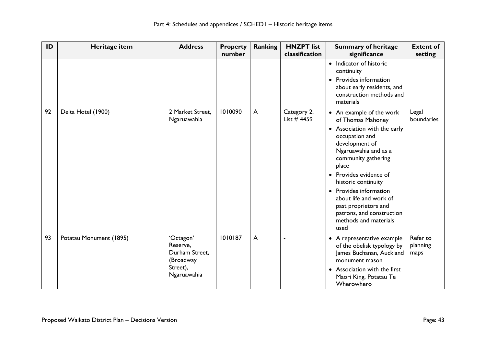| ID | Heritage item           | <b>Address</b>                                                                  | <b>Property</b><br>number | Ranking      | <b>HNZPT</b> list<br>classification | <b>Summary of heritage</b><br>significance                                                                                                                                                                                                                                                                                                                                    | <b>Extent of</b><br>setting  |
|----|-------------------------|---------------------------------------------------------------------------------|---------------------------|--------------|-------------------------------------|-------------------------------------------------------------------------------------------------------------------------------------------------------------------------------------------------------------------------------------------------------------------------------------------------------------------------------------------------------------------------------|------------------------------|
|    |                         |                                                                                 |                           |              |                                     | • Indicator of historic<br>continuity<br>• Provides information<br>about early residents, and<br>construction methods and<br>materials                                                                                                                                                                                                                                        |                              |
| 92 | Delta Hotel (1900)      | 2 Market Street.<br>Ngaruawahia                                                 | 1010090                   | $\mathsf{A}$ | Category 2,<br>List $#$ 4459        | • An example of the work<br>of Thomas Mahoney<br>• Association with the early<br>occupation and<br>development of<br>Ngaruawahia and as a<br>community gathering<br>place<br>Provides evidence of<br>$\bullet$<br>historic continuity<br>Provides information<br>about life and work of<br>past proprietors and<br>patrons, and construction<br>methods and materials<br>used | Legal<br>boundaries          |
| 93 | Potatau Monument (1895) | 'Octagon'<br>Reserve.<br>Durham Street,<br>(Broadway<br>Street),<br>Ngaruawahia | 1010187                   | $\mathsf{A}$ |                                     | • A representative example<br>of the obelisk typology by<br>James Buchanan, Auckland<br>monument mason<br>Association with the first<br>Maori King, Potatau Te<br>Wherowhero                                                                                                                                                                                                  | Refer to<br>planning<br>maps |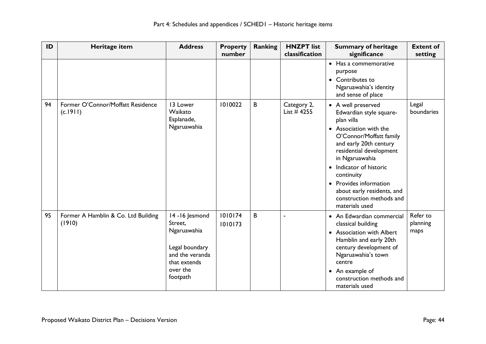| ID | Heritage item                                 | <b>Address</b>                                                                                                         | <b>Property</b><br>number | <b>Ranking</b> | <b>HNZPT</b> list<br>classification | <b>Summary of heritage</b><br>significance                                                                                                                                                                                                                                                                                                                   | <b>Extent of</b><br>setting  |
|----|-----------------------------------------------|------------------------------------------------------------------------------------------------------------------------|---------------------------|----------------|-------------------------------------|--------------------------------------------------------------------------------------------------------------------------------------------------------------------------------------------------------------------------------------------------------------------------------------------------------------------------------------------------------------|------------------------------|
|    |                                               |                                                                                                                        |                           |                |                                     | • Has a commemorative<br>purpose<br>• Contributes to<br>Ngaruawahia's identity<br>and sense of place                                                                                                                                                                                                                                                         |                              |
| 94 | Former O'Connor/Moffatt Residence<br>(c.1911) | 13 Lower<br>Waikato<br>Esplanade,<br>Ngaruawahia                                                                       | 1010022                   | B              | Category 2,<br>List $#4255$         | • A well preserved<br>Edwardian style square-<br>plan villa<br>Association with the<br>$\bullet$<br>O'Connor/Moffatt family<br>and early 20th century<br>residential development<br>in Ngaruawahia<br>Indicator of historic<br>$\bullet$<br>continuity<br>• Provides information<br>about early residents, and<br>construction methods and<br>materials used | Legal<br>boundaries          |
| 95 | Former A Hamblin & Co. Ltd Building<br>(1910) | 14 - 16 Jesmond<br>Street,<br>Ngaruawahia<br>Legal boundary<br>and the veranda<br>that extends<br>over the<br>footpath | 1010174<br>1010173        | B              | $\blacksquare$                      | • An Edwardian commercial<br>classical building<br><b>Association with Albert</b><br>$\bullet$<br>Hamblin and early 20th<br>century development of<br>Ngaruawahia's town<br>centre<br>An example of<br>$\bullet$<br>construction methods and<br>materials used                                                                                               | Refer to<br>planning<br>maps |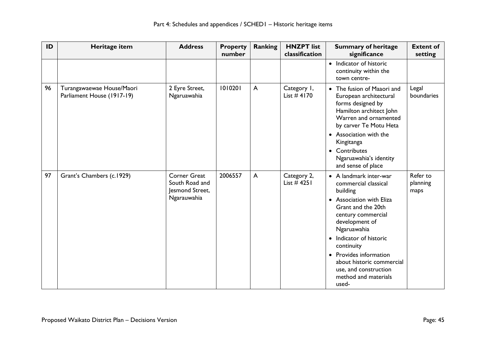| ID | Heritage item                                           | <b>Address</b>                                                          | <b>Property</b><br>number | Ranking | <b>HNZPT</b> list<br>classification | <b>Summary of heritage</b><br>significance                                                                                                                                                                                                                                                                                               | <b>Extent of</b><br>setting  |
|----|---------------------------------------------------------|-------------------------------------------------------------------------|---------------------------|---------|-------------------------------------|------------------------------------------------------------------------------------------------------------------------------------------------------------------------------------------------------------------------------------------------------------------------------------------------------------------------------------------|------------------------------|
|    |                                                         |                                                                         |                           |         |                                     | • Indicator of historic<br>continuity within the<br>town centre-                                                                                                                                                                                                                                                                         |                              |
| 96 | Turangawaewae House/Maori<br>Parliament House (1917-19) | 2 Eyre Street,<br>Ngaruawahia                                           | 1010201                   | A       | Category 1,<br>List $#4170$         | The fusion of Maaori and<br>$\bullet$<br>European architectural<br>forms designed by<br>Hamilton architect John<br>Warren and ornamented<br>by carver Te Motu Heta<br>• Association with the<br>Kingitanga<br>• Contributes<br>Ngaruawahia's identity<br>and sense of place                                                              | Legal<br>boundaries          |
| 97 | Grant's Chambers (c.1929)                               | <b>Corner Great</b><br>South Road and<br>Jesmond Street,<br>Ngarauwahia | 2006557                   | A       | Category 2,<br>List $#4251$         | • A landmark inter-war<br>commercial classical<br>building<br>• Association with Eliza<br>Grant and the 20th<br>century commercial<br>development of<br>Ngaruawahia<br>Indicator of historic<br>$\bullet$<br>continuity<br>• Provides information<br>about historic commercial<br>use, and construction<br>method and materials<br>used- | Refer to<br>planning<br>maps |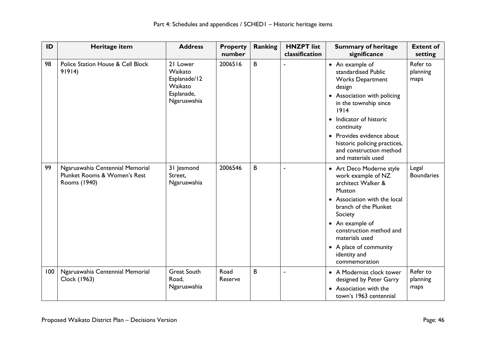| ID  | Heritage item                                                                   | <b>Address</b>                                                              | <b>Property</b><br>number | <b>Ranking</b> | <b>HNZPT</b> list<br>classification | <b>Summary of heritage</b><br>significance                                                                                                                                                                                                                                                         | <b>Extent of</b><br>setting  |
|-----|---------------------------------------------------------------------------------|-----------------------------------------------------------------------------|---------------------------|----------------|-------------------------------------|----------------------------------------------------------------------------------------------------------------------------------------------------------------------------------------------------------------------------------------------------------------------------------------------------|------------------------------|
| 98  | Police Station House & Cell Block<br>91914)                                     | 21 Lower<br>Waikato<br>Esplanade/12<br>Waikato<br>Esplanade,<br>Ngaruawahia | 2006516                   | B              | $\blacksquare$                      | • An example of<br>standardised Public<br><b>Works Department</b><br>design<br>• Association with policing<br>in the township since<br>1914<br>• Indicator of historic<br>continuity<br>• Provides evidence about<br>historic policing practices,<br>and construction method<br>and materials used | Refer to<br>planning<br>maps |
| 99  | Ngaruawahia Centennial Memorial<br>Plunket Rooms & Women's Rest<br>Rooms (1940) | 31 Jesmond<br>Street,<br>Ngaruawahia                                        | 2006546                   | B              | $\blacksquare$                      | • Art Deco Moderne style<br>work example of NZ<br>architect Walker &<br>Muston<br>• Association with the local<br>branch of the Plunket<br>Society<br>• An example of<br>construction method and<br>materials used<br>• A place of community<br>identity and<br>commemoration                      | Legal<br><b>Boundaries</b>   |
| 100 | Ngaruawahia Centennial Memorial<br>Clock (1963)                                 | <b>Great South</b><br>Road,<br>Ngaruawahia                                  | Road<br>Reserve           | B              | $\blacksquare$                      | • A Modernist clock tower<br>designed by Peter Garry<br>Association with the<br>town's 1963 centennial                                                                                                                                                                                             | Refer to<br>planning<br>maps |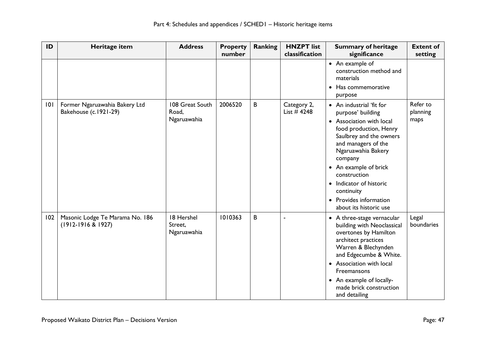| ID  | Heritage item                                             | <b>Address</b>                          | <b>Property</b><br>number | Ranking | <b>HNZPT</b> list<br>classification | <b>Summary of heritage</b><br>significance                                                                                                                                                                                                                                                                                                         | <b>Extent of</b><br>setting  |
|-----|-----------------------------------------------------------|-----------------------------------------|---------------------------|---------|-------------------------------------|----------------------------------------------------------------------------------------------------------------------------------------------------------------------------------------------------------------------------------------------------------------------------------------------------------------------------------------------------|------------------------------|
|     |                                                           |                                         |                           |         |                                     | • An example of<br>construction method and<br>materials<br>Has commemorative<br>purpose                                                                                                                                                                                                                                                            |                              |
| 101 | Former Ngaruawahia Bakery Ltd<br>Bakehouse (c.1921-29)    | 108 Great South<br>Road,<br>Ngaruawahia | 2006520                   | B       | Category 2,<br>List $#4248$         | • An industrial 'fit for<br>purpose' building<br>• Association with local<br>food production, Henry<br>Saulbrey and the owners<br>and managers of the<br>Ngaruawahia Bakery<br>company<br>• An example of brick<br>construction<br>Indicator of historic<br>$\bullet$<br>continuity<br>Provides information<br>$\bullet$<br>about its historic use | Refer to<br>planning<br>maps |
| 102 | Masonic Lodge Te Marama No. 186<br>$(1912 - 1916 & 1927)$ | 18 Hershel<br>Street,<br>Ngaruawahia    | 1010363                   | B       |                                     | • A three-stage vernacular<br>building with Neoclassical<br>overtones by Hamilton<br>architect practices<br>Warren & Blechynden<br>and Edgecumbe & White.<br>• Association with local<br>Freemansons<br>• An example of locally-<br>made brick construction<br>and detailing                                                                       | Legal<br>boundaries          |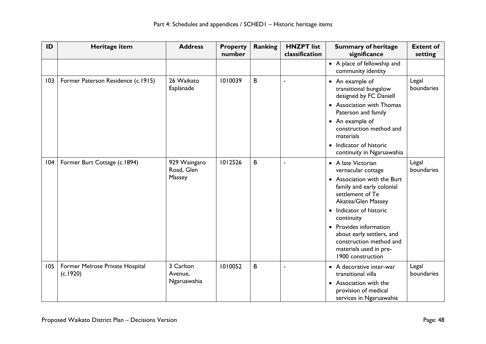| ID  | Heritage item                               | <b>Address</b>                       | <b>Property</b><br>number | <b>Ranking</b> | <b>HNZPT</b> list<br>classification | <b>Summary of heritage</b><br>significance                                                                                                                                                                                                                                                                             | <b>Extent of</b><br>setting |
|-----|---------------------------------------------|--------------------------------------|---------------------------|----------------|-------------------------------------|------------------------------------------------------------------------------------------------------------------------------------------------------------------------------------------------------------------------------------------------------------------------------------------------------------------------|-----------------------------|
|     |                                             |                                      |                           |                |                                     | • A place of fellowship and<br>community identity                                                                                                                                                                                                                                                                      |                             |
| 103 | Former Paterson Residence (c.1915)          | 26 Waikato<br>Esplanade              | 1010039                   | B              | J.                                  | • An example of<br>transitional bungalow<br>designed by FC Daniell<br>• Association with Thomas<br>Paterson and family<br>• An example of<br>construction method and<br>materials<br>• Indicator of historic<br>continuity in Ngaruawahia                                                                              | Legal<br>boundaries         |
| 104 | Former Burt Cottage (c.1894)                | 929 Waingaro<br>Road, Glen<br>Massey | 1012526                   | B              | $\blacksquare$                      | • A late Victorian<br>vernacular cottage<br>• Association with the Burt<br>family and early colonial<br>settlement of Te<br>Akatea/Glen Massey<br>• Indicator of historic<br>continuity<br>Provides information<br>about early settlers, and<br>construction method and<br>materials used in pre-<br>1900 construction | Legal<br>boundaries         |
| 105 | Former Melrose Private Hospital<br>(c.1920) | 3 Carlton<br>Avenue,<br>Ngaruawahia  | 1010052                   | B              | $\blacksquare$                      | • A decorative inter-war<br>transitional villa<br>Association with the<br>provision of medical<br>services in Ngaruawahia                                                                                                                                                                                              | Legal<br>boundaries         |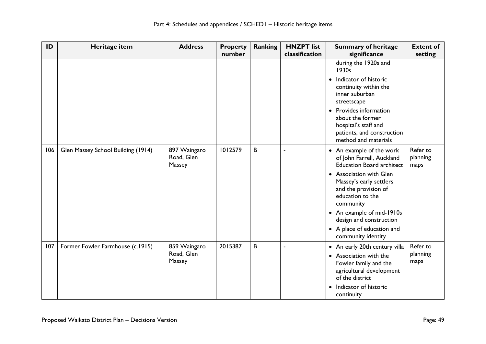| ID  | Heritage item                      | <b>Address</b>                       | <b>Property</b><br>number | Ranking | <b>HNZPT</b> list<br>classification | <b>Summary of heritage</b><br>significance                                                                                                                                                                                                                                                                           | <b>Extent of</b><br>setting  |
|-----|------------------------------------|--------------------------------------|---------------------------|---------|-------------------------------------|----------------------------------------------------------------------------------------------------------------------------------------------------------------------------------------------------------------------------------------------------------------------------------------------------------------------|------------------------------|
|     |                                    |                                      |                           |         |                                     | during the 1920s and<br>1930s<br>Indicator of historic<br>$\bullet$<br>continuity within the<br>inner suburban<br>streetscape<br>• Provides information<br>about the former<br>hospital's staff and<br>patients, and construction<br>method and materials                                                            |                              |
| 106 | Glen Massey School Building (1914) | 897 Waingaro<br>Road, Glen<br>Massey | 1012579                   | В       | $\blacksquare$                      | • An example of the work<br>of John Farrell, Auckland<br><b>Education Board architect</b><br>• Association with Glen<br>Massey's early settlers<br>and the provision of<br>education to the<br>community<br>• An example of mid-1910s<br>design and construction<br>• A place of education and<br>community identity | Refer to<br>planning<br>maps |
| 107 | Former Fowler Farmhouse (c.1915)   | 859 Waingaro<br>Road, Glen<br>Massey | 2015387                   | B       | $\blacksquare$                      | • An early 20th century villa<br>• Association with the<br>Fowler family and the<br>agricultural development<br>of the district<br>• Indicator of historic<br>continuity                                                                                                                                             | Refer to<br>planning<br>maps |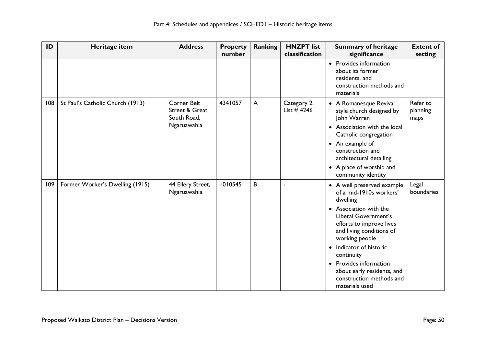| ID  | Heritage item                    | <b>Address</b>                                                     | <b>Property</b><br>number | <b>Ranking</b> | <b>HNZPT</b> list<br>classification | <b>Summary of heritage</b><br>significance                                                                                                                                                                                                                                                                                                                         | <b>Extent of</b><br>setting  |
|-----|----------------------------------|--------------------------------------------------------------------|---------------------------|----------------|-------------------------------------|--------------------------------------------------------------------------------------------------------------------------------------------------------------------------------------------------------------------------------------------------------------------------------------------------------------------------------------------------------------------|------------------------------|
|     |                                  |                                                                    |                           |                |                                     | • Provides information<br>about its former<br>residents, and<br>construction methods and<br>materials                                                                                                                                                                                                                                                              |                              |
| 108 | St Paul's Catholic Church (1913) | <b>Corner Belt</b><br>Street & Great<br>South Road,<br>Ngaruawahia | 4341057                   | A              | Category 2,<br>List $#4246$         | • A Romanesque Revival<br>style church designed by<br>John Warren<br>• Association with the local<br>Catholic congregation<br>• An example of<br>construction and<br>architectural detailing<br>• A place of worship and<br>community identity                                                                                                                     | Refer to<br>planning<br>maps |
| 109 | Former Worker's Dwelling (1915)  | 44 Ellery Street,<br>Ngaruawahia                                   | 1010545                   | B              |                                     | • A well preserved example<br>of a mid-1910s workers'<br>dwelling<br>Association with the<br>$\bullet$<br>Liberal Government's<br>efforts to improve lives<br>and living conditions of<br>working people<br>Indicator of historic<br>$\bullet$<br>continuity<br>• Provides information<br>about early residents, and<br>construction methods and<br>materials used | Legal<br>boundaries          |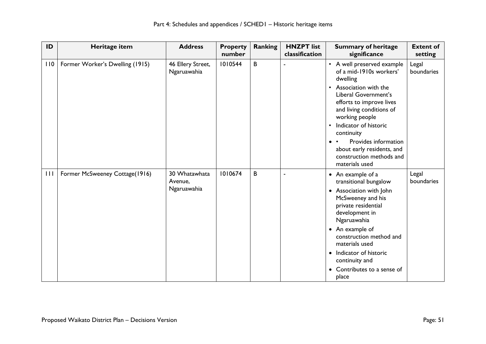| ID  | Heritage item                   | <b>Address</b>                          | <b>Property</b><br>number | <b>Ranking</b> | <b>HNZPT</b> list<br>classification | <b>Summary of heritage</b><br>significance                                                                                                                                                                                                                                                                                                                       | <b>Extent of</b><br>setting |
|-----|---------------------------------|-----------------------------------------|---------------------------|----------------|-------------------------------------|------------------------------------------------------------------------------------------------------------------------------------------------------------------------------------------------------------------------------------------------------------------------------------------------------------------------------------------------------------------|-----------------------------|
| 110 | Former Worker's Dwelling (1915) | 46 Ellery Street,<br>Ngaruawahia        | 1010544                   | B              |                                     | • A well preserved example<br>of a mid-1910s workers'<br>dwelling<br>Association with the<br>$\bullet$<br>Liberal Government's<br>efforts to improve lives<br>and living conditions of<br>working people<br>Indicator of historic<br>$\bullet$<br>continuity<br>Provides information<br>about early residents, and<br>construction methods and<br>materials used | Legal<br>boundaries         |
| 111 | Former McSweeney Cottage(1916)  | 30 Whatawhata<br>Avenue,<br>Ngaruawahia | 1010674                   | B              | ä,                                  | • An example of a<br>transitional bungalow<br>• Association with John<br>McSweeney and his<br>private residential<br>development in<br>Ngaruawahia<br>• An example of<br>construction method and<br>materials used<br>Indicator of historic<br>$\bullet$<br>continuity and<br>Contributes to a sense of<br>place                                                 | Legal<br>boundaries         |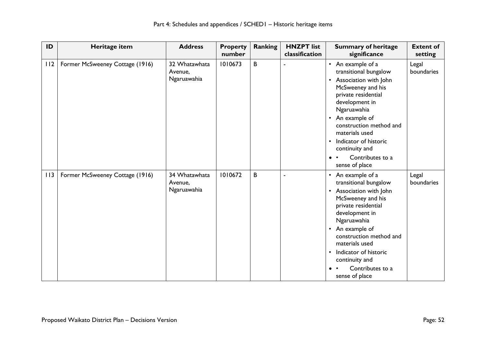| ID  | Heritage item                   | <b>Address</b>                          | <b>Property</b><br>number | <b>Ranking</b> | <b>HNZPT</b> list<br>classification | <b>Summary of heritage</b><br>significance                                                                                                                                                                                                                                                                                                                      | <b>Extent of</b><br>setting |
|-----|---------------------------------|-----------------------------------------|---------------------------|----------------|-------------------------------------|-----------------------------------------------------------------------------------------------------------------------------------------------------------------------------------------------------------------------------------------------------------------------------------------------------------------------------------------------------------------|-----------------------------|
| 112 | Former McSweeney Cottage (1916) | 32 Whatawhata<br>Avenue,<br>Ngaruawahia | 1010673                   | B              |                                     | • An example of a<br>transitional bungalow<br>Association with John<br>$\bullet$<br>McSweeney and his<br>private residential<br>development in<br>Ngaruawahia<br>An example of<br>$\bullet$<br>construction method and<br>materials used<br>Indicator of historic<br>$\bullet$<br>continuity and<br>Contributes to a<br>$\bullet\quad\bullet$<br>sense of place | Legal<br>boundaries         |
| 113 | Former McSweeney Cottage (1916) | 34 Whatawhata<br>Avenue,<br>Ngaruawahia | 1010672                   | B              |                                     | • An example of a<br>transitional bungalow<br>• Association with John<br>McSweeney and his<br>private residential<br>development in<br>Ngaruawahia<br>An example of<br>$\bullet$<br>construction method and<br>materials used<br>Indicator of historic<br>$\bullet$<br>continuity and<br>Contributes to a<br>sense of place                                     | Legal<br>boundaries         |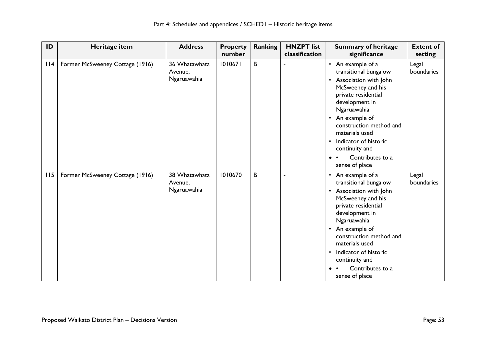| ID  | Heritage item                   | <b>Address</b>                          | <b>Property</b><br>number | Ranking | <b>HNZPT</b> list<br>classification | <b>Summary of heritage</b><br>significance                                                                                                                                                                                                                                                                                                                       | <b>Extent of</b><br>setting |
|-----|---------------------------------|-----------------------------------------|---------------------------|---------|-------------------------------------|------------------------------------------------------------------------------------------------------------------------------------------------------------------------------------------------------------------------------------------------------------------------------------------------------------------------------------------------------------------|-----------------------------|
| 114 | Former McSweeney Cottage (1916) | 36 Whatawhata<br>Avenue,<br>Ngaruawahia | 1010671                   | B       |                                     | • An example of a<br>transitional bungalow<br>Association with John<br>$\bullet$<br>McSweeney and his<br>private residential<br>development in<br>Ngaruawahia<br>An example of<br>$\bullet$<br>construction method and<br>materials used<br>Indicator of historic<br>$\bullet$<br>continuity and<br>Contributes to a<br>$\bullet\quad \bullet$<br>sense of place | Legal<br>boundaries         |
| 115 | Former McSweeney Cottage (1916) | 38 Whatawhata<br>Avenue,<br>Ngaruawahia | 1010670                   | B       |                                     | • An example of a<br>transitional bungalow<br>• Association with John<br>McSweeney and his<br>private residential<br>development in<br>Ngaruawahia<br>An example of<br>$\bullet$<br>construction method and<br>materials used<br>Indicator of historic<br>$\bullet$<br>continuity and<br>Contributes to a<br>sense of place                                      | Legal<br>boundaries         |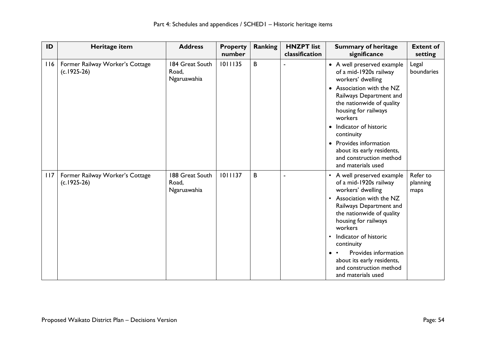| ID  | Heritage item                                    | <b>Address</b>                          | <b>Property</b><br>number | Ranking | <b>HNZPT</b> list<br>classification | <b>Summary of heritage</b><br>significance                                                                                                                                                                                                                                                                                                                                | <b>Extent of</b><br>setting  |
|-----|--------------------------------------------------|-----------------------------------------|---------------------------|---------|-------------------------------------|---------------------------------------------------------------------------------------------------------------------------------------------------------------------------------------------------------------------------------------------------------------------------------------------------------------------------------------------------------------------------|------------------------------|
| 116 | Former Railway Worker's Cottage<br>$(c.1925-26)$ | 184 Great South<br>Road,<br>Ngaruawahia | 1011135                   | B       |                                     | • A well preserved example<br>of a mid-1920s railway<br>workers' dwelling<br>• Association with the NZ<br>Railways Department and<br>the nationwide of quality<br>housing for railways<br>workers<br>Indicator of historic<br>$\bullet$<br>continuity<br>Provides information<br>$\bullet$<br>about its early residents,<br>and construction method<br>and materials used | Legal<br>boundaries          |
| 117 | Former Railway Worker's Cottage<br>$(c.1925-26)$ | 188 Great South<br>Road,<br>Ngaruawahia | 1011137                   | B       |                                     | • A well preserved example<br>of a mid-1920s railway<br>workers' dwelling<br>Association with the NZ<br>$\bullet$<br>Railways Department and<br>the nationwide of quality<br>housing for railways<br>workers<br>Indicator of historic<br>$\bullet$<br>continuity<br>Provides information<br>about its early residents,<br>and construction method<br>and materials used   | Refer to<br>planning<br>maps |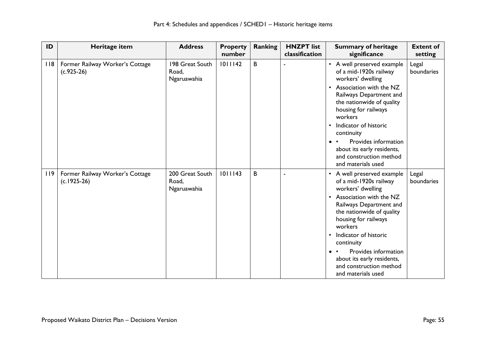| ID  | Heritage item                                    | <b>Address</b>                          | <b>Property</b><br>number | Ranking | <b>HNZPT</b> list<br>classification | <b>Summary of heritage</b><br>significance                                                                                                                                                                                                                                                                                                                              | <b>Extent of</b><br>setting |
|-----|--------------------------------------------------|-----------------------------------------|---------------------------|---------|-------------------------------------|-------------------------------------------------------------------------------------------------------------------------------------------------------------------------------------------------------------------------------------------------------------------------------------------------------------------------------------------------------------------------|-----------------------------|
| 118 | Former Railway Worker's Cottage<br>$(c.925-26)$  | 198 Great South<br>Road,<br>Ngaruawahia | 1011142                   | B       |                                     | • A well preserved example<br>of a mid-1920s railway<br>workers' dwelling<br>Association with the NZ<br>$\bullet$<br>Railways Department and<br>the nationwide of quality<br>housing for railways<br>workers<br>Indicator of historic<br>$\bullet$<br>continuity<br>Provides information<br>about its early residents,<br>and construction method<br>and materials used | Legal<br>boundaries         |
| 119 | Former Railway Worker's Cottage<br>$(c.1925-26)$ | 200 Great South<br>Road,<br>Ngaruawahia | 1011143                   | B       |                                     | • A well preserved example<br>of a mid-1920s railway<br>workers' dwelling<br>Association with the NZ<br>Railways Department and<br>the nationwide of quality<br>housing for railways<br>workers<br>Indicator of historic<br>continuity<br>Provides information<br>$\bullet\quad \bullet$<br>about its early residents,<br>and construction method<br>and materials used | Legal<br>boundaries         |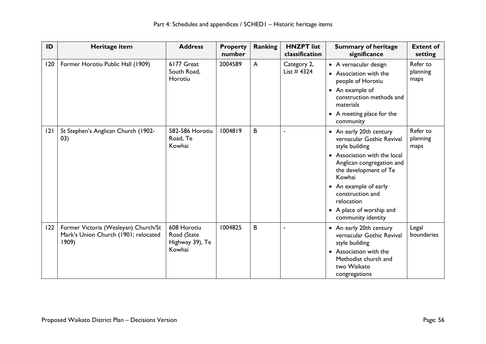| ID  | Heritage item                                                                         | <b>Address</b>                                          | <b>Property</b><br>number | Ranking      | <b>HNZPT</b> list<br>classification | <b>Summary of heritage</b><br>significance                                                                                                                                                                                                                                          | <b>Extent of</b><br>setting  |
|-----|---------------------------------------------------------------------------------------|---------------------------------------------------------|---------------------------|--------------|-------------------------------------|-------------------------------------------------------------------------------------------------------------------------------------------------------------------------------------------------------------------------------------------------------------------------------------|------------------------------|
| 120 | Former Horotiu Public Hall (1909)                                                     | 6177 Great<br>South Road,<br>Horotiu                    | 2004589                   | $\mathsf{A}$ | Category 2,<br>List $#4324$         | • A vernacular design<br>• Association with the<br>people of Horotiu<br>• An example of<br>construction methods and<br>materials<br>• A meeting place for the<br>community                                                                                                          | Refer to<br>planning<br>maps |
| 2   | St Stephen's Anglican Church (1902-<br>(03)                                           | 582-586 Horotiu<br>Road, Te<br>Kowhai                   | 1004819                   | B            |                                     | • An early 20th century<br>vernacular Gothic Revival<br>style building<br>• Association with the local<br>Anglican congregation and<br>the development of Te<br>Kowhai<br>• An example of early<br>construction and<br>relocation<br>• A place of worship and<br>community identity | Refer to<br>planning<br>maps |
| 122 | Former Victoria (Wesleyan) Church/St<br>Mark's Union Church (1901; relocated<br>1909) | 608 Horotiu<br>Road (State<br>Highway 39), Te<br>Kowhai | 1004825                   | B            |                                     | • An early 20th century<br>vernacular Gothic Revival<br>style building<br>• Association with the<br>Methodist church and<br>two Waikato<br>congregations                                                                                                                            | Legal<br>boundaries          |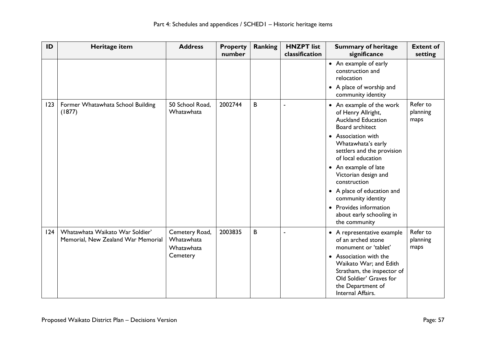| ID  | Heritage item                                                         | <b>Address</b>                             | <b>Property</b><br>number | <b>Ranking</b> | <b>HNZPT</b> list<br>classification | <b>Summary of heritage</b><br>significance                                                                                                          | <b>Extent of</b><br>setting  |
|-----|-----------------------------------------------------------------------|--------------------------------------------|---------------------------|----------------|-------------------------------------|-----------------------------------------------------------------------------------------------------------------------------------------------------|------------------------------|
|     |                                                                       |                                            |                           |                |                                     | • An example of early<br>construction and<br>relocation<br>• A place of worship and                                                                 |                              |
|     |                                                                       |                                            |                           |                |                                     | community identity                                                                                                                                  |                              |
| 123 | Former Whatawhata School Building<br>(1877)                           | 50 School Road,<br>Whatawhata              | 2002744                   | B              | ÷,                                  | • An example of the work<br>of Henry Allright,<br><b>Auckland Education</b><br>Board architect                                                      | Refer to<br>planning<br>maps |
|     |                                                                       |                                            |                           |                |                                     | • Association with<br>Whatawhata's early<br>settlers and the provision<br>of local education                                                        |                              |
|     |                                                                       |                                            |                           |                |                                     | • An example of late<br>Victorian design and<br>construction                                                                                        |                              |
|     |                                                                       |                                            |                           |                |                                     | • A place of education and<br>community identity                                                                                                    |                              |
|     |                                                                       |                                            |                           |                |                                     | • Provides information<br>about early schooling in<br>the community                                                                                 |                              |
| 124 | Whatawhata Waikato War Soldier'<br>Memorial, New Zealand War Memorial | Cemetery Road,<br>Whatawhata<br>Whatawhata | 2003835                   | B              |                                     | • A representative example<br>of an arched stone<br>monument or 'tablet'                                                                            | Refer to<br>planning<br>maps |
|     |                                                                       | Cemetery                                   |                           |                |                                     | • Association with the<br>Waikato War; and Edith<br>Stratham, the inspector of<br>Old Soldier' Graves for<br>the Department of<br>Internal Affairs. |                              |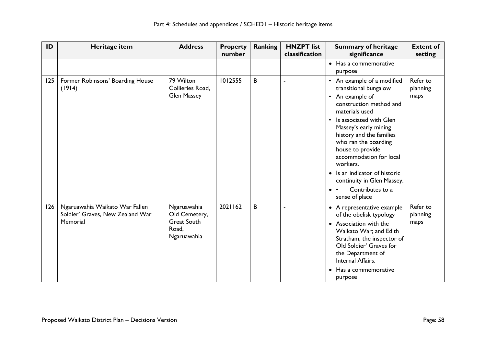| ID  | Heritage item                                                                  | <b>Address</b>                                                             | <b>Property</b><br>number | <b>Ranking</b> | <b>HNZPT</b> list<br>classification | <b>Summary of heritage</b><br>significance                                                                                                                                                                                                                                                                                                                                                                                                           | <b>Extent of</b><br>setting  |
|-----|--------------------------------------------------------------------------------|----------------------------------------------------------------------------|---------------------------|----------------|-------------------------------------|------------------------------------------------------------------------------------------------------------------------------------------------------------------------------------------------------------------------------------------------------------------------------------------------------------------------------------------------------------------------------------------------------------------------------------------------------|------------------------------|
|     |                                                                                |                                                                            |                           |                |                                     | • Has a commemorative<br>purpose                                                                                                                                                                                                                                                                                                                                                                                                                     |                              |
| 125 | Former Robinsons' Boarding House<br>(1914)                                     | 79 Wilton<br>Collieries Road,<br><b>Glen Massey</b>                        | 1012555                   | B              |                                     | An example of a modified<br>$\bullet$<br>transitional bungalow<br>An example of<br>$\bullet$<br>construction method and<br>materials used<br>Is associated with Glen<br>$\bullet$<br>Massey's early mining<br>history and the families<br>who ran the boarding<br>house to provide<br>accommodation for local<br>workers.<br>Is an indicator of historic<br>continuity in Glen Massey.<br>Contributes to a<br>$\bullet\quadbullet$<br>sense of place | Refer to<br>planning<br>maps |
| 126 | Ngaruawahia Waikato War Fallen<br>Soldier' Graves, New Zealand War<br>Memorial | Ngaruawahia<br>Old Cemetery,<br><b>Great South</b><br>Road,<br>Ngaruawahia | 2021162                   | B              |                                     | • A representative example<br>of the obelisk typology<br>Association with the<br>$\bullet$<br>Waikato War; and Edith<br>Stratham, the inspector of<br>Old Soldier' Graves for<br>the Department of<br>Internal Affairs.<br>Has a commemorative<br>$\bullet$<br>purpose                                                                                                                                                                               | Refer to<br>planning<br>maps |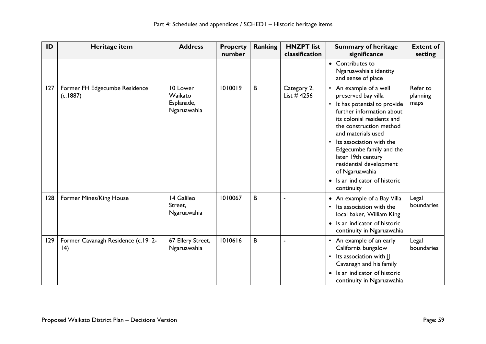| ID  | Heritage item                                     | <b>Address</b>                                   | <b>Property</b><br>number | <b>Ranking</b> | <b>HNZPT</b> list<br>classification | <b>Summary of heritage</b><br>significance                                                                                                                                                                                                                                                                                                                                                 | <b>Extent of</b><br>setting  |
|-----|---------------------------------------------------|--------------------------------------------------|---------------------------|----------------|-------------------------------------|--------------------------------------------------------------------------------------------------------------------------------------------------------------------------------------------------------------------------------------------------------------------------------------------------------------------------------------------------------------------------------------------|------------------------------|
|     |                                                   |                                                  |                           |                |                                     | • Contributes to<br>Ngaruawahia's identity<br>and sense of place                                                                                                                                                                                                                                                                                                                           |                              |
| 127 | Former FH Edgecumbe Residence<br>(c.1887)         | 10 Lower<br>Waikato<br>Esplanade,<br>Ngaruawahia | 1010019                   | B              | Category 2,<br>List $#4256$         | • An example of a well<br>preserved bay villa<br>It has potential to provide<br>further information about<br>its colonial residents and<br>the construction method<br>and materials used<br>Its association with the<br>$\bullet$<br>Edgecumbe family and the<br>later 19th century<br>residential development<br>of Ngaruawahia<br>Is an indicator of historic<br>$\bullet$<br>continuity | Refer to<br>planning<br>maps |
| 128 | Former Mines/King House                           | 14 Galileo<br>Street,<br>Ngaruawahia             | 1010067                   | B              |                                     | • An example of a Bay Villa<br>Its association with the<br>$\bullet$<br>local baker, William King<br>Is an indicator of historic<br>$\bullet$<br>continuity in Ngaruawahia                                                                                                                                                                                                                 | Legal<br>boundaries          |
| 129 | Former Cavanagh Residence (c.1912-<br>$ 4\rangle$ | 67 Ellery Street,<br>Ngaruawahia                 | 1010616                   | B              |                                     | An example of an early<br>$\bullet$<br>California bungalow<br>Its association with JJ<br>$\bullet$<br>Cavanagh and his family<br>Is an indicator of historic<br>continuity in Ngaruawahia                                                                                                                                                                                                  | Legal<br>boundaries          |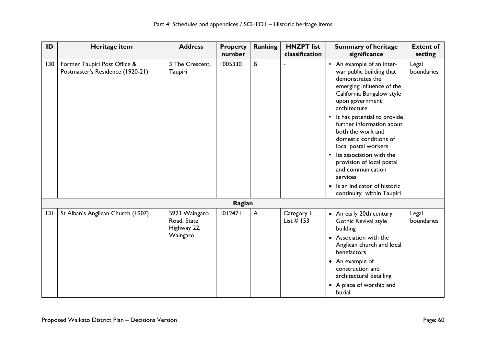| ID  | Heritage item                                                    | <b>Address</b>                                          | <b>Property</b><br>number | <b>Ranking</b> | <b>HNZPT</b> list<br>classification | <b>Summary of heritage</b><br>significance                                                                                                                                                                                                                                                                                                                                                                                                                                     | <b>Extent of</b><br>setting |
|-----|------------------------------------------------------------------|---------------------------------------------------------|---------------------------|----------------|-------------------------------------|--------------------------------------------------------------------------------------------------------------------------------------------------------------------------------------------------------------------------------------------------------------------------------------------------------------------------------------------------------------------------------------------------------------------------------------------------------------------------------|-----------------------------|
| 130 | Former Taupiri Post Office &<br>Postmaster's Residence (1920-21) | 3 The Crescent.<br>Taupiri                              | 1005330                   | B              |                                     | • An example of an inter-<br>war public building that<br>demonstrates the<br>emerging influence of the<br>California Bungalow style<br>upon government<br>architecture<br>It has potential to provide<br>$\bullet$<br>further information about<br>both the work and<br>domestic conditions of<br>local postal workers<br>Its association with the<br>provision of local postal<br>and communication<br>services<br>• Is an indicator of historic<br>continuity within Taupiri | Legal<br>boundaries         |
|     |                                                                  |                                                         | Raglan                    |                |                                     |                                                                                                                                                                                                                                                                                                                                                                                                                                                                                |                             |
| 3   | St Alban's Anglican Church (1907)                                | 5923 Waingaro<br>Road, State<br>Highway 22,<br>Waingaro | 1012471                   | $\overline{A}$ | Category 1,<br>List $#$ 153         | • An early 20th century<br>Gothic Revival style<br>building<br>• Association with the<br>Anglican church and local<br>benefactors<br>• An example of<br>construction and<br>architectural detailing<br>• A place of worship and<br>burial                                                                                                                                                                                                                                      | Legal<br>boundaries         |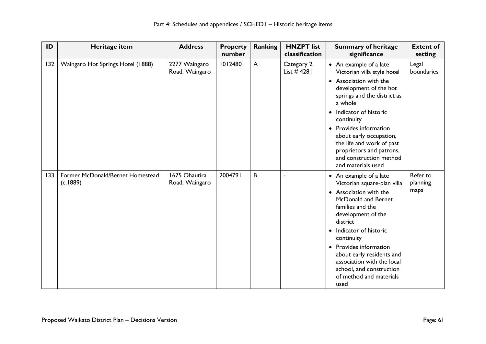| ID  | Heritage item                                | <b>Address</b>                  | <b>Property</b><br>number | Ranking | <b>HNZPT</b> list<br>classification | <b>Summary of heritage</b><br>significance                                                                                                                                                                                                                                                                                                                             | <b>Extent of</b><br>setting  |
|-----|----------------------------------------------|---------------------------------|---------------------------|---------|-------------------------------------|------------------------------------------------------------------------------------------------------------------------------------------------------------------------------------------------------------------------------------------------------------------------------------------------------------------------------------------------------------------------|------------------------------|
| 132 | Waingaro Hot Springs Hotel (1888)            | 2277 Waingaro<br>Road, Waingaro | 1012480                   | A       | Category 2,<br>List $#4281$         | • An example of a late<br>Victorian villa style hotel<br>• Association with the<br>development of the hot<br>springs and the district as<br>a whole<br>Indicator of historic<br>$\bullet$<br>continuity<br>• Provides information<br>about early occupation,<br>the life and work of past<br>proprietors and patrons,<br>and construction method<br>and materials used | Legal<br>boundaries          |
| 133 | Former McDonald/Bernet Homestead<br>(c.1889) | 1675 Ohautira<br>Road, Waingaro | 2004791                   | B       | $\ddot{\phantom{1}}$                | • An example of a late<br>Victorian square-plan villa<br>• Association with the<br>McDonald and Bernet<br>families and the<br>development of the<br>district<br>Indicator of historic<br>$\bullet$<br>continuity<br>• Provides information<br>about early residents and<br>association with the local<br>school, and construction<br>of method and materials<br>used   | Refer to<br>planning<br>maps |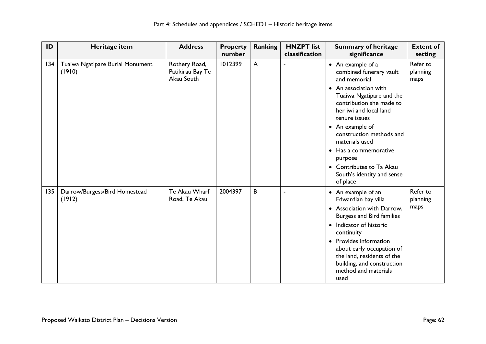| ID  | Heritage item                              | <b>Address</b>                                  | <b>Property</b><br>number | <b>Ranking</b> | <b>HNZPT</b> list<br>classification | <b>Summary of heritage</b><br>significance                                                                                                                                                                                                                                                                                                                          | <b>Extent of</b><br>setting  |
|-----|--------------------------------------------|-------------------------------------------------|---------------------------|----------------|-------------------------------------|---------------------------------------------------------------------------------------------------------------------------------------------------------------------------------------------------------------------------------------------------------------------------------------------------------------------------------------------------------------------|------------------------------|
| 134 | Tuaiwa Ngatipare Burial Monument<br>(1910) | Rothery Road,<br>Patikirau Bay Te<br>Akau South | 1012399                   | $\mathsf{A}$   | ÷,                                  | • An example of a<br>combined funerary vault<br>and memorial<br>• An association with<br>Tuaiwa Ngatipare and the<br>contribution she made to<br>her iwi and local land<br>tenure issues<br>• An example of<br>construction methods and<br>materials used<br>• Has a commemorative<br>purpose<br>• Contributes to Ta Akau<br>South's identity and sense<br>of place | Refer to<br>planning<br>maps |
| 135 | Darrow/Burgess/Bird Homestead<br>(1912)    | Te Akau Wharf<br>Road, Te Akau                  | 2004397                   | B              | ä,                                  | • An example of an<br>Edwardian bay villa<br>• Association with Darrow,<br><b>Burgess and Bird families</b><br>• Indicator of historic<br>continuity<br>Provides information<br>$\bullet$<br>about early occupation of<br>the land, residents of the<br>building, and construction<br>method and materials<br>used                                                  | Refer to<br>planning<br>maps |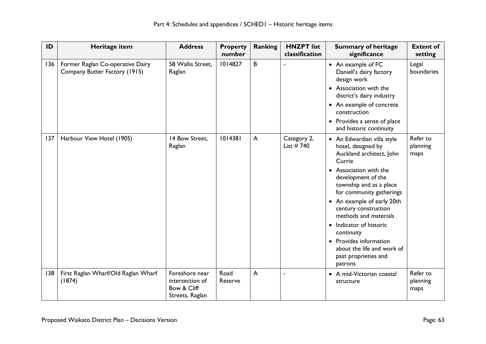| ID  | Heritage item                                                     | <b>Address</b>                                                      | <b>Property</b><br>number | <b>Ranking</b> | <b>HNZPT</b> list<br>classification | <b>Summary of heritage</b><br>significance                                                                                                                                                                                                                                                                                                                                                                                             | <b>Extent of</b><br>setting  |
|-----|-------------------------------------------------------------------|---------------------------------------------------------------------|---------------------------|----------------|-------------------------------------|----------------------------------------------------------------------------------------------------------------------------------------------------------------------------------------------------------------------------------------------------------------------------------------------------------------------------------------------------------------------------------------------------------------------------------------|------------------------------|
| 136 | Former Raglan Co-operative Dairy<br>Company Butter Factory (1915) | 58 Wallis Street.<br>Raglan                                         | 1014827                   | B              |                                     | • An example of FC<br>Daniell's dairy factory<br>design work<br>• Association with the<br>district's dairy industry<br>• An example of concrete<br>construction<br>• Provides a sense of place<br>and historic continuity                                                                                                                                                                                                              | Legal<br>boundaries          |
| 137 | Harbour View Hotel (1905)                                         | 14 Bow Street,<br>Raglan                                            | 1014381                   | $\overline{A}$ | Category 2,<br>List $# 740$         | • An Edwardian villa style<br>hotel, designed by<br>Auckland architect, John<br>Currie<br>Association with the<br>$\bullet$<br>development of the<br>township and as a place<br>for community gatherings<br>• An example of early 20th<br>century construction<br>methods and materials<br>Indicator of historic<br>$\bullet$<br>continuity<br>• Provides information<br>about the life and work of<br>past proprieties and<br>patrons | Refer to<br>planning<br>maps |
| 138 | First Raglan Wharf/Old Raglan Wharf<br>(1874)                     | Foreshore near<br>intersection of<br>Bow & Cliff<br>Streets, Raglan | Road<br>Reserve           | $\overline{A}$ |                                     | • A mid-Victorian coastal<br>structure                                                                                                                                                                                                                                                                                                                                                                                                 | Refer to<br>planning<br>maps |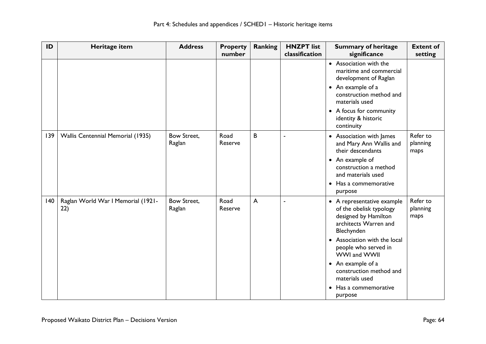| ID  | Heritage item                             | <b>Address</b>        | <b>Property</b><br>number | Ranking | <b>HNZPT</b> list<br>classification | <b>Summary of heritage</b><br>significance                                                                           | <b>Extent of</b><br>setting  |
|-----|-------------------------------------------|-----------------------|---------------------------|---------|-------------------------------------|----------------------------------------------------------------------------------------------------------------------|------------------------------|
|     |                                           |                       |                           |         |                                     | • Association with the<br>maritime and commercial<br>development of Raglan                                           |                              |
|     |                                           |                       |                           |         |                                     | • An example of a<br>construction method and<br>materials used                                                       |                              |
|     |                                           |                       |                           |         |                                     | • A focus for community<br>identity & historic<br>continuity                                                         |                              |
| 139 | Wallis Centennial Memorial (1935)         | Bow Street,<br>Raglan | Road<br>Reserve           | B       | $\blacksquare$                      | • Association with James<br>and Mary Ann Wallis and<br>their descendants                                             | Refer to<br>planning<br>maps |
|     |                                           |                       |                           |         |                                     | • An example of<br>construction a method<br>and materials used                                                       |                              |
|     |                                           |                       |                           |         |                                     | Has a commemorative<br>$\bullet$<br>purpose                                                                          |                              |
| 140 | Raglan World War I Memorial (1921-<br>22) | Bow Street,<br>Raglan | Road<br>Reserve           | A       | $\blacksquare$                      | • A representative example<br>of the obelisk typology<br>designed by Hamilton<br>architects Warren and<br>Blechynden | Refer to<br>planning<br>maps |
|     |                                           |                       |                           |         |                                     | • Association with the local<br>people who served in<br>WWI and WWII                                                 |                              |
|     |                                           |                       |                           |         |                                     | • An example of a<br>construction method and<br>materials used                                                       |                              |
|     |                                           |                       |                           |         |                                     | Has a commemorative<br>purpose                                                                                       |                              |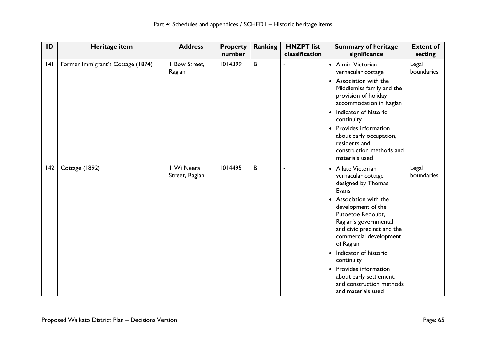| ID  | Heritage item                     | <b>Address</b>               | <b>Property</b><br>number | <b>Ranking</b> | <b>HNZPT</b> list<br>classification | <b>Summary of heritage</b><br>significance                                                                                                                                                                                                                                                                                                                                                 | <b>Extent of</b><br>setting |
|-----|-----------------------------------|------------------------------|---------------------------|----------------|-------------------------------------|--------------------------------------------------------------------------------------------------------------------------------------------------------------------------------------------------------------------------------------------------------------------------------------------------------------------------------------------------------------------------------------------|-----------------------------|
| 4   | Former Immigrant's Cottage (1874) | <b>Bow Street,</b><br>Raglan | 1014399                   | B              |                                     | • A mid-Victorian<br>vernacular cottage<br>• Association with the<br>Middlemiss family and the<br>provision of holiday<br>accommodation in Raglan<br>• Indicator of historic<br>continuity<br>• Provides information<br>about early occupation,<br>residents and<br>construction methods and<br>materials used                                                                             | Legal<br>boundaries         |
| 142 | Cottage (1892)                    | I Wi Neera<br>Street, Raglan | 1014495                   | B              |                                     | • A late Victorian<br>vernacular cottage<br>designed by Thomas<br>Evans<br>• Association with the<br>development of the<br>Putoetoe Redoubt,<br>Raglan's governmental<br>and civic precinct and the<br>commercial development<br>of Raglan<br>• Indicator of historic<br>continuity<br>• Provides information<br>about early settlement,<br>and construction methods<br>and materials used | Legal<br>boundaries         |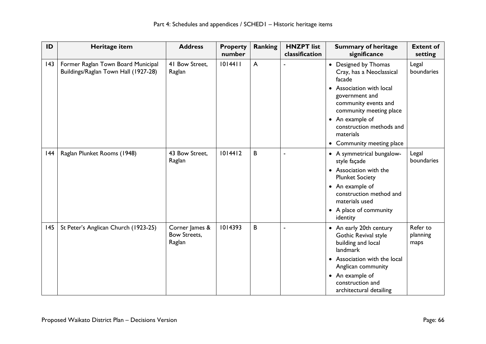| ID           | Heritage item                                                              | <b>Address</b>                                  | <b>Property</b><br>number | <b>Ranking</b> | <b>HNZPT</b> list<br>classification | <b>Summary of heritage</b><br>significance                                                                                                                                                                                                                                 | <b>Extent of</b><br>setting  |
|--------------|----------------------------------------------------------------------------|-------------------------------------------------|---------------------------|----------------|-------------------------------------|----------------------------------------------------------------------------------------------------------------------------------------------------------------------------------------------------------------------------------------------------------------------------|------------------------------|
| $ 43\rangle$ | Former Raglan Town Board Municipal<br>Buildings/Raglan Town Hall (1927-28) | 41 Bow Street.<br>Raglan                        | 1014411                   | $\mathsf{A}$   |                                     | • Designed by Thomas<br>Cray, has a Neoclassical<br>facade<br>• Association with local<br>government and<br>community events and<br>community meeting place<br>An example of<br>$\bullet$<br>construction methods and<br>materials<br>Community meeting place<br>$\bullet$ | Legal<br>boundaries          |
| 44           | Raglan Plunket Rooms (1948)                                                | 43 Bow Street,<br>Raglan                        | 1014412                   | B              |                                     | • A symmetrical bungalow-<br>style façade<br>• Association with the<br><b>Plunket Society</b><br>• An example of<br>construction method and<br>materials used<br>• A place of community<br>identity                                                                        | Legal<br>boundaries          |
| 145          | St Peter's Anglican Church (1923-25)                                       | Corner James &<br><b>Bow Streets,</b><br>Raglan | 1014393                   | B              |                                     | • An early 20th century<br>Gothic Revival style<br>building and local<br>landmark<br>• Association with the local<br>Anglican community<br>• An example of<br>construction and<br>architectural detailing                                                                  | Refer to<br>planning<br>maps |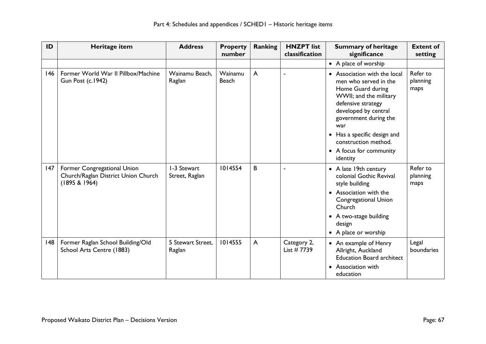| ID  | Heritage item                                                                       | <b>Address</b>                | <b>Property</b><br>number | <b>Ranking</b> | <b>HNZPT</b> list<br>classification | <b>Summary of heritage</b><br>significance                                                                                                                                                                                                                                       | <b>Extent of</b><br>setting  |
|-----|-------------------------------------------------------------------------------------|-------------------------------|---------------------------|----------------|-------------------------------------|----------------------------------------------------------------------------------------------------------------------------------------------------------------------------------------------------------------------------------------------------------------------------------|------------------------------|
|     |                                                                                     |                               |                           |                |                                     | • A place of worship                                                                                                                                                                                                                                                             |                              |
| 146 | Former World War II Pillbox/Machine<br><b>Gun Post (c.1942)</b>                     | Wainamu Beach,<br>Raglan      | Wainamu<br><b>Beach</b>   | $\overline{A}$ |                                     | • Association with the local<br>men who served in the<br>Home Guard during<br>WWII; and the military<br>defensive strategy<br>developed by central<br>government during the<br>war<br>• Has a specific design and<br>construction method.<br>• A focus for community<br>identity | Refer to<br>planning<br>maps |
| 147 | Former Congregational Union<br>Church/Raglan District Union Church<br>(1895 & 1964) | I-3 Stewart<br>Street, Raglan | 1014554                   | B              |                                     | • A late 19th century<br>colonial Gothic Revival<br>style building<br>• Association with the<br>Congregational Union<br>Church<br>• A two-stage building<br>design<br>• A place or worship                                                                                       | Refer to<br>planning<br>maps |
| 48  | Former Raglan School Building/Old<br>School Arts Centre (1883)                      | 5 Stewart Street.<br>Raglan   | 1014555                   | $\mathsf{A}$   | Category 2,<br>List $#7739$         | • An example of Henry<br>Allright, Auckland<br><b>Education Board architect</b><br>Association with<br>education                                                                                                                                                                 | Legal<br>boundaries          |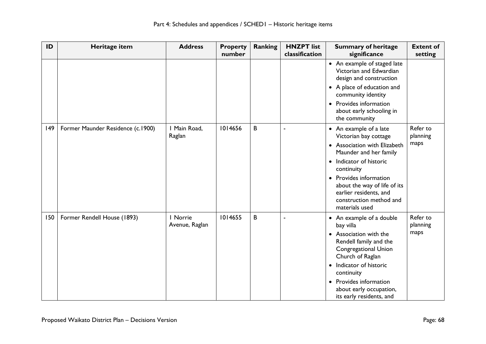| ID           | Heritage item                     | <b>Address</b>             | <b>Property</b><br>number | <b>Ranking</b> | <b>HNZPT</b> list<br>classification | <b>Summary of heritage</b><br>significance                                                                                                   | <b>Extent of</b><br>setting  |
|--------------|-----------------------------------|----------------------------|---------------------------|----------------|-------------------------------------|----------------------------------------------------------------------------------------------------------------------------------------------|------------------------------|
|              |                                   |                            |                           |                |                                     | • An example of staged late<br>Victorian and Edwardian<br>design and construction                                                            |                              |
|              |                                   |                            |                           |                |                                     | • A place of education and<br>community identity                                                                                             |                              |
|              |                                   |                            |                           |                |                                     | • Provides information<br>about early schooling in<br>the community                                                                          |                              |
| $ 49\rangle$ | Former Maunder Residence (c.1900) | I Main Road,<br>Raglan     | 1014656                   | B              |                                     | • An example of a late<br>Victorian bay cottage                                                                                              | Refer to<br>planning         |
|              |                                   |                            |                           |                |                                     | • Association with Elizabeth<br>Maunder and her family                                                                                       | maps                         |
|              |                                   |                            |                           |                |                                     | • Indicator of historic<br>continuity                                                                                                        |                              |
|              |                                   |                            |                           |                |                                     | • Provides information<br>about the way of life of its<br>earlier residents, and<br>construction method and<br>materials used                |                              |
| 150          | Former Rendell House (1893)       | I Norrie<br>Avenue, Raglan | 1014655                   | B              |                                     | • An example of a double<br>bay villa<br>• Association with the<br>Rendell family and the<br><b>Congregational Union</b><br>Church of Raglan | Refer to<br>planning<br>maps |
|              |                                   |                            |                           |                |                                     | Indicator of historic<br>$\bullet$<br>continuity                                                                                             |                              |
|              |                                   |                            |                           |                |                                     | • Provides information<br>about early occupation,<br>its early residents, and                                                                |                              |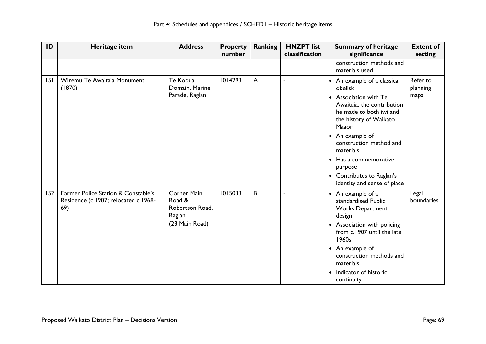| ID  | Heritage item                                                                      | <b>Address</b>                                                              | <b>Property</b><br>number | <b>Ranking</b> | <b>HNZPT</b> list<br>classification | <b>Summary of heritage</b><br>significance                                                                                                                                                                                                                                                                              | <b>Extent of</b><br>setting  |
|-----|------------------------------------------------------------------------------------|-----------------------------------------------------------------------------|---------------------------|----------------|-------------------------------------|-------------------------------------------------------------------------------------------------------------------------------------------------------------------------------------------------------------------------------------------------------------------------------------------------------------------------|------------------------------|
|     |                                                                                    |                                                                             |                           |                |                                     | construction methods and<br>materials used                                                                                                                                                                                                                                                                              |                              |
| 151 | Wiremu Te Awaitaia Monument<br>(1870)                                              | Te Kopua<br>Domain, Marine<br>Parade, Raglan                                | 1014293                   | $\mathsf{A}$   |                                     | • An example of a classical<br>obelisk<br>• Association with Te<br>Awaitaia, the contribution<br>he made to both iwi and<br>the history of Waikato<br>Maaori<br>• An example of<br>construction method and<br>materials<br>• Has a commemorative<br>purpose<br>• Contributes to Raglan's<br>identity and sense of place | Refer to<br>planning<br>maps |
| 152 | Former Police Station & Constable's<br>Residence (c.1907; relocated c.1968-<br>69) | <b>Corner Main</b><br>Road &<br>Robertson Road,<br>Raglan<br>(23 Main Road) | 1015033                   | B              | ä,                                  | • An example of a<br>standardised Public<br><b>Works Department</b><br>design<br>• Association with policing<br>from c.1907 until the late<br>1960s<br>• An example of<br>construction methods and<br>materials<br>Indicator of historic<br>$\bullet$<br>continuity                                                     | Legal<br>boundaries          |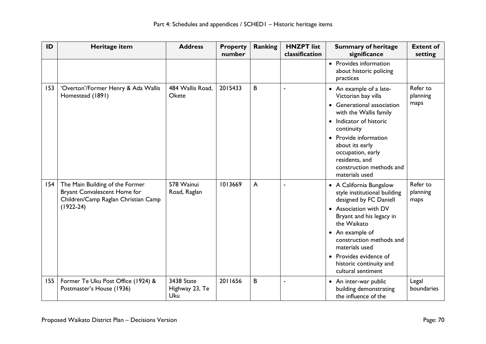| ID  | Heritage item                                                                                                           | <b>Address</b>                      | <b>Property</b><br>number | <b>Ranking</b> | <b>HNZPT</b> list<br>classification | <b>Summary of heritage</b><br>significance                                                                                                                                                                                                                                                        | <b>Extent of</b><br>setting  |
|-----|-------------------------------------------------------------------------------------------------------------------------|-------------------------------------|---------------------------|----------------|-------------------------------------|---------------------------------------------------------------------------------------------------------------------------------------------------------------------------------------------------------------------------------------------------------------------------------------------------|------------------------------|
|     |                                                                                                                         |                                     |                           |                |                                     | • Provides information<br>about historic policing<br>practices                                                                                                                                                                                                                                    |                              |
| 153 | 'Overton'/Former Henry & Ada Wallis<br>Homestead (1891)                                                                 | 484 Wallis Road,<br>Okete           | 2015433                   | B              | $\ddot{\phantom{1}}$                | • An example of a late-<br>Victorian bay villa<br><b>Generational association</b><br>with the Wallis family<br>• Indicator of historic<br>continuity<br>• Provide information<br>about its early<br>occupation, early<br>residents, and<br>construction methods and<br>materials used             | Refer to<br>planning<br>maps |
| 154 | The Main Building of the Former<br>Bryant Convalescent Home for<br>Children/Camp Raglan Christian Camp<br>$(1922 - 24)$ | 578 Wainui<br>Road, Raglan          | 1013669                   | A              |                                     | • A California Bungalow<br>style institutional building<br>designed by FC Daniell<br>• Association with DV<br>Bryant and his legacy in<br>the Waikato<br>• An example of<br>construction methods and<br>materials used<br>• Provides evidence of<br>historic continuity and<br>cultural sentiment | Refer to<br>planning<br>maps |
| 155 | Former Te Uku Post Office (1924) &<br>Postmaster's House (1936)                                                         | 3438 State<br>Highway 23, Te<br>Uku | 2011656                   | B              |                                     | • An inter-war public<br>building demonstrating<br>the influence of the                                                                                                                                                                                                                           | Legal<br>boundaries          |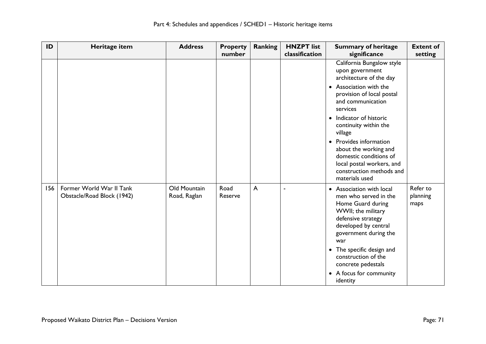| ID  | Heritage item                                          | <b>Address</b>               | <b>Property</b><br>number | <b>Ranking</b> | <b>HNZPT</b> list<br>classification | <b>Summary of heritage</b><br>significance                                                                                                                                                                                                                                                                                                                                             | <b>Extent of</b><br>setting  |
|-----|--------------------------------------------------------|------------------------------|---------------------------|----------------|-------------------------------------|----------------------------------------------------------------------------------------------------------------------------------------------------------------------------------------------------------------------------------------------------------------------------------------------------------------------------------------------------------------------------------------|------------------------------|
|     |                                                        |                              |                           |                |                                     | California Bungalow style<br>upon government<br>architecture of the day<br>• Association with the<br>provision of local postal<br>and communication<br>services<br>• Indicator of historic<br>continuity within the<br>village<br>• Provides information<br>about the working and<br>domestic conditions of<br>local postal workers, and<br>construction methods and<br>materials used |                              |
| 156 | Former World War II Tank<br>Obstacle/Road Block (1942) | Old Mountain<br>Road, Raglan | Road<br>Reserve           | $\overline{A}$ |                                     | • Association with local<br>men who served in the<br>Home Guard during<br>WWII; the military<br>defensive strategy<br>developed by central<br>government during the<br>war<br>• The specific design and<br>construction of the<br>concrete pedestals<br>• A focus for community<br>identity                                                                                            | Refer to<br>planning<br>maps |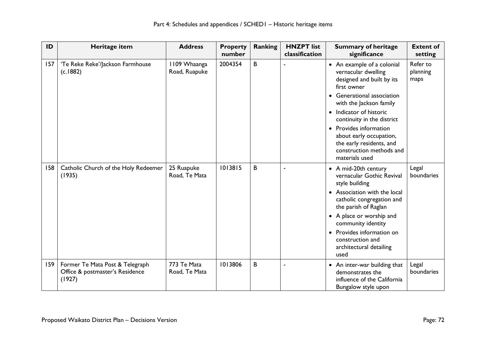| ID  | Heritage item                                                                | <b>Address</b>                | <b>Property</b><br>number | Ranking | <b>HNZPT</b> list<br>classification | <b>Summary of heritage</b><br>significance                                                                                                                                                                                                                                                                                                                         | <b>Extent of</b><br>setting  |
|-----|------------------------------------------------------------------------------|-------------------------------|---------------------------|---------|-------------------------------------|--------------------------------------------------------------------------------------------------------------------------------------------------------------------------------------------------------------------------------------------------------------------------------------------------------------------------------------------------------------------|------------------------------|
| 157 | 'Te Reke Reke'/Jackson Farmhouse<br>(c.1882)                                 | 1109 Whaanga<br>Road, Ruapuke | 2004354                   | B       |                                     | • An example of a colonial<br>vernacular dwelling<br>designed and built by its<br>first owner<br>Generational association<br>with the Jackson family<br>Indicator of historic<br>$\bullet$<br>continuity in the district<br>Provides information<br>$\bullet$<br>about early occupation,<br>the early residents, and<br>construction methods and<br>materials used | Refer to<br>planning<br>maps |
| 158 | Catholic Church of the Holy Redeemer<br>(1935)                               | 25 Ruapuke<br>Road, Te Mata   | 1013815                   | B       |                                     | • A mid-20th century<br>vernacular Gothic Revival<br>style building<br>Association with the local<br>catholic congregation and<br>the parish of Raglan<br>• A place or worship and<br>community identity<br>Provides information on<br>construction and<br>architectural detailing<br>used                                                                         | Legal<br>boundaries          |
| 159 | Former Te Mata Post & Telegraph<br>Office & postmaster's Residence<br>(1927) | 773 Te Mata<br>Road, Te Mata  | 1013806                   | B       |                                     | An inter-war building that<br>$\bullet$<br>demonstrates the<br>influence of the California<br>Bungalow style upon                                                                                                                                                                                                                                                  | Legal<br>boundaries          |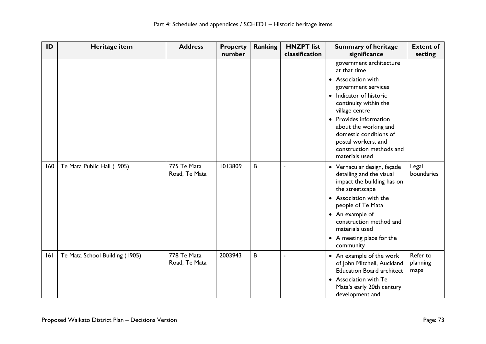| ID  | Heritage item                  | <b>Address</b>               | <b>Property</b><br>number | <b>Ranking</b> | <b>HNZPT</b> list<br>classification | <b>Summary of heritage</b><br>significance                                                                                                                                                                                                                                                                              | <b>Extent of</b><br>setting  |
|-----|--------------------------------|------------------------------|---------------------------|----------------|-------------------------------------|-------------------------------------------------------------------------------------------------------------------------------------------------------------------------------------------------------------------------------------------------------------------------------------------------------------------------|------------------------------|
|     |                                |                              |                           |                |                                     | government architecture<br>at that time<br>• Association with<br>government services<br>Indicator of historic<br>$\bullet$<br>continuity within the<br>village centre<br>• Provides information<br>about the working and<br>domestic conditions of<br>postal workers, and<br>construction methods and<br>materials used |                              |
| 160 | Te Mata Public Hall (1905)     | 775 Te Mata<br>Road, Te Mata | 1013809                   | B              | $\blacksquare$                      | • Vernacular design, façade<br>detailing and the visual<br>impact the building has on<br>the streetscape<br>• Association with the<br>people of Te Mata<br>• An example of<br>construction method and<br>materials used<br>• A meeting place for the<br>community                                                       | Legal<br>boundaries          |
| 6   | Te Mata School Building (1905) | 778 Te Mata<br>Road, Te Mata | 2003943                   | B              | $\blacksquare$                      | • An example of the work<br>of John Mitchell, Auckland<br><b>Education Board architect</b><br>• Association with Te<br>Mata's early 20th century<br>development and                                                                                                                                                     | Refer to<br>planning<br>maps |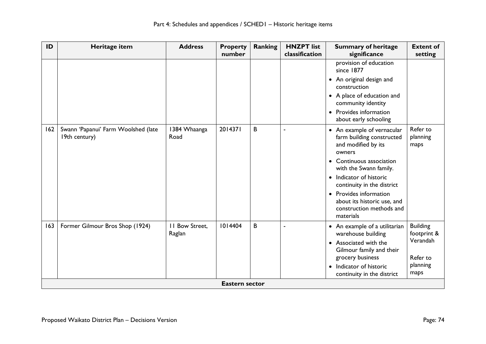| ID  | Heritage item                                        | <b>Address</b>           | <b>Property</b><br>number | <b>Ranking</b> | <b>HNZPT</b> list<br>classification | <b>Summary of heritage</b><br>significance                                                     | <b>Extent of</b><br>setting    |
|-----|------------------------------------------------------|--------------------------|---------------------------|----------------|-------------------------------------|------------------------------------------------------------------------------------------------|--------------------------------|
|     |                                                      |                          |                           |                |                                     | provision of education<br>since 1877                                                           |                                |
|     |                                                      |                          |                           |                |                                     | • An original design and<br>construction                                                       |                                |
|     |                                                      |                          |                           |                |                                     | • A place of education and<br>community identity                                               |                                |
|     |                                                      |                          |                           |                |                                     | • Provides information<br>about early schooling                                                |                                |
| 162 | Swann 'Papanui' Farm Woolshed (late<br>19th century) | 1384 Whaanga<br>Road     | 2014371                   | B              | ÷,                                  | • An example of vernacular<br>farm building constructed<br>and modified by its<br>owners       | Refer to<br>planning<br>maps   |
|     |                                                      |                          |                           |                |                                     | • Continuous association<br>with the Swann family.                                             |                                |
|     |                                                      |                          |                           |                |                                     | Indicator of historic<br>$\bullet$<br>continuity in the district                               |                                |
|     |                                                      |                          |                           |                |                                     | • Provides information<br>about its historic use, and<br>construction methods and<br>materials |                                |
| 163 | Former Gilmour Bros Shop (1924)                      | II Bow Street,<br>Raglan | 1014404                   | B              |                                     | • An example of a utilitarian<br>warehouse building                                            | <b>Building</b><br>footprint & |
|     |                                                      |                          |                           |                |                                     | Associated with the<br>Gilmour family and their                                                | Verandah                       |
|     |                                                      |                          |                           |                |                                     | grocery business                                                                               | Refer to                       |
|     |                                                      |                          |                           |                |                                     | Indicator of historic<br>$\bullet$<br>continuity in the district                               | planning<br>maps               |
|     |                                                      |                          | <b>Eastern sector</b>     |                |                                     |                                                                                                |                                |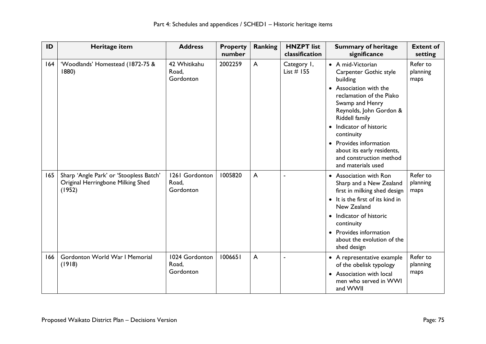| ID  | Heritage item                                                                          | <b>Address</b>                       | <b>Property</b><br>number | <b>Ranking</b> | <b>HNZPT</b> list<br>classification | <b>Summary of heritage</b><br>significance                                                                                                                                                                                                                                                                                               | <b>Extent of</b><br>setting  |
|-----|----------------------------------------------------------------------------------------|--------------------------------------|---------------------------|----------------|-------------------------------------|------------------------------------------------------------------------------------------------------------------------------------------------------------------------------------------------------------------------------------------------------------------------------------------------------------------------------------------|------------------------------|
| 164 | 'Woodlands' Homestead (1872-75 &<br>1880)                                              | 42 Whitikahu<br>Road,<br>Gordonton   | 2002259                   | $\mathsf{A}$   | Category 1,<br>List $#$ 155         | • A mid-Victorian<br>Carpenter Gothic style<br>building<br>• Association with the<br>reclamation of the Piako<br>Swamp and Henry<br>Reynolds, John Gordon &<br>Riddell family<br>Indicator of historic<br>continuity<br>Provides information<br>$\bullet$<br>about its early residents,<br>and construction method<br>and materials used | Refer to<br>planning<br>maps |
| 165 | Sharp 'Angle Park' or 'Stoopless Batch'<br>Original Herringbone Milking Shed<br>(1952) | 1261 Gordonton<br>Road,<br>Gordonton | 1005820                   | A              |                                     | • Association with Ron<br>Sharp and a New Zealand<br>first in milking shed design<br>• It is the first of its kind in<br>New Zealand<br>• Indicator of historic<br>continuity<br>• Provides information<br>about the evolution of the<br>shed design                                                                                     | Refer to<br>planning<br>maps |
| 166 | Gordonton World War I Memorial<br>(1918)                                               | 1024 Gordonton<br>Road,<br>Gordonton | 1006651                   | $\mathsf{A}$   |                                     | • A representative example<br>of the obelisk typology<br>Association with local<br>men who served in WWI<br>and WWII                                                                                                                                                                                                                     | Refer to<br>planning<br>maps |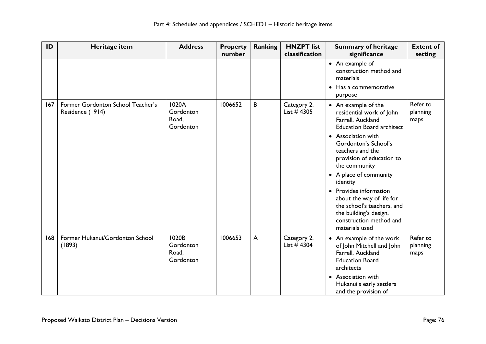| ID  | Heritage item                                         | <b>Address</b>                           | <b>Property</b><br>number | <b>Ranking</b> | <b>HNZPT</b> list<br>classification | <b>Summary of heritage</b><br>significance                                                                                                                                                                                                                                                                                                                                                                                 | <b>Extent of</b><br>setting  |
|-----|-------------------------------------------------------|------------------------------------------|---------------------------|----------------|-------------------------------------|----------------------------------------------------------------------------------------------------------------------------------------------------------------------------------------------------------------------------------------------------------------------------------------------------------------------------------------------------------------------------------------------------------------------------|------------------------------|
|     |                                                       |                                          |                           |                |                                     | • An example of<br>construction method and<br>materials<br>• Has a commemorative<br>purpose                                                                                                                                                                                                                                                                                                                                |                              |
| 167 | Former Gordonton School Teacher's<br>Residence (1914) | 1020A<br>Gordonton<br>Road,<br>Gordonton | 1006652                   | B              | Category 2,<br>List $#$ 4305        | • An example of the<br>residential work of John<br>Farrell, Auckland<br><b>Education Board architect</b><br>• Association with<br>Gordonton's School's<br>teachers and the<br>provision of education to<br>the community<br>• A place of community<br>identity<br>• Provides information<br>about the way of life for<br>the school's teachers, and<br>the building's design,<br>construction method and<br>materials used | Refer to<br>planning<br>maps |
| 168 | Former Hukanui/Gordonton School<br>(1893)             | 1020B<br>Gordonton<br>Road,<br>Gordonton | 1006653                   | $\mathsf{A}$   | Category 2,<br>List $#$ 4304        | • An example of the work<br>of John Mitchell and John<br>Farrell, Auckland<br><b>Education Board</b><br>architects<br>Association with<br>$\bullet$<br>Hukanui's early settlers<br>and the provision of                                                                                                                                                                                                                    | Refer to<br>planning<br>maps |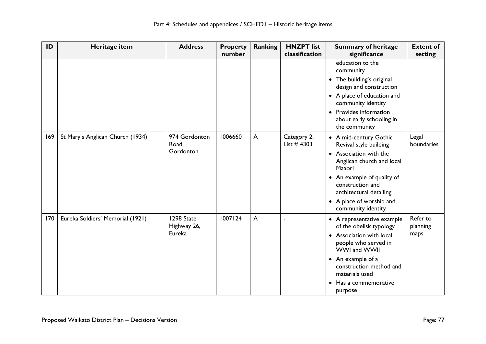| ID  | Heritage item                    | <b>Address</b>                      | <b>Property</b><br>number | <b>Ranking</b> | <b>HNZPT</b> list<br>classification | <b>Summary of heritage</b><br>significance                                                                                                                                                                                                       | <b>Extent of</b><br>setting  |
|-----|----------------------------------|-------------------------------------|---------------------------|----------------|-------------------------------------|--------------------------------------------------------------------------------------------------------------------------------------------------------------------------------------------------------------------------------------------------|------------------------------|
|     |                                  |                                     |                           |                |                                     | education to the<br>community<br>• The building's original<br>design and construction<br>• A place of education and<br>community identity<br>• Provides information<br>about early schooling in<br>the community                                 |                              |
| 169 | St Mary's Anglican Church (1934) | 974 Gordonton<br>Road,<br>Gordonton | 1006660                   | $\mathsf{A}$   | Category 2,<br>List $#$ 4303        | • A mid-century Gothic<br>Revival style building<br>• Association with the<br>Anglican church and local<br>Maaori<br>• An example of quality of<br>construction and<br>architectural detailing<br>• A place of worship and<br>community identity | Legal<br>boundaries          |
| 170 | Eureka Soldiers' Memorial (1921) | 1298 State<br>Highway 26,<br>Eureka | 1007124                   | $\mathsf{A}$   | $\overline{\phantom{a}}$            | • A representative example<br>of the obelisk typology<br>• Association with local<br>people who served in<br>WWI and WWII<br>• An example of a<br>construction method and<br>materials used<br>Has a commemorative<br>$\bullet$<br>purpose       | Refer to<br>planning<br>maps |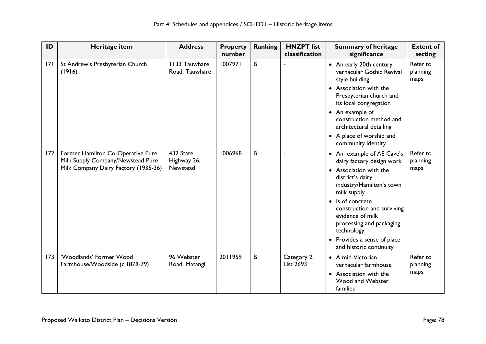| ID  | Heritage item                                                                                                  | <b>Address</b>                       | <b>Property</b><br>number | Ranking | <b>HNZPT</b> list<br>classification | <b>Summary of heritage</b><br>significance                                                                                                                                                                                                                                                                                           | <b>Extent of</b><br>setting  |
|-----|----------------------------------------------------------------------------------------------------------------|--------------------------------------|---------------------------|---------|-------------------------------------|--------------------------------------------------------------------------------------------------------------------------------------------------------------------------------------------------------------------------------------------------------------------------------------------------------------------------------------|------------------------------|
| 7   | St Andrew's Presbyterian Church<br>(1916)                                                                      | 1133 Tauwhare<br>Road, Tauwhare      | 1007971                   | B       |                                     | • An early 20th century<br>vernacular Gothic Revival<br>style building<br>• Association with the<br>Presbyterian church and<br>its local congregation<br>• An example of<br>construction method and<br>architectural detailing<br>• A place of worship and<br>community identity                                                     | Refer to<br>planning<br>maps |
| 172 | Former Hamilton Co-Operative Pure<br>Milk Supply Company/Newstead Pure<br>Milk Company Dairy Factory (1935-36) | 432 State<br>Highway 26,<br>Newstead | 1006968                   | B       |                                     | • An example of AE Cave's<br>dairy factory design work<br>• Association with the<br>district's dairy<br>industry/Hamilton's town<br>milk supply<br>Is of concrete<br>$\bullet$<br>construction and surviving<br>evidence of milk<br>processing and packaging<br>technology<br>• Provides a sense of place<br>and historic continuity | Refer to<br>planning<br>maps |
| 173 | 'Woodlands' Former Wood<br>Farmhouse/Woodside (c.1878-79)                                                      | 96 Webster<br>Road, Matangi          | 2011959                   | B       | Category 2,<br>List 2693            | • A mid-Victorian<br>vernacular farmhouse<br>• Association with the<br>Wood and Webster<br>families                                                                                                                                                                                                                                  | Refer to<br>planning<br>maps |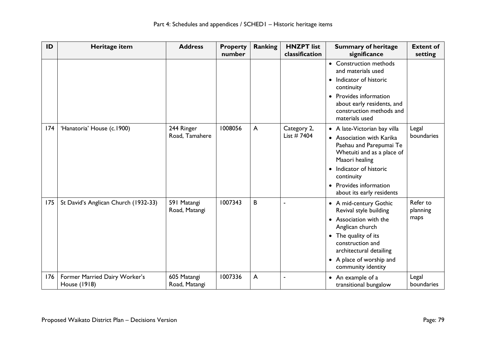| ID  | Heritage item                                 | <b>Address</b>               | <b>Property</b><br>number | <b>Ranking</b> | <b>HNZPT</b> list<br>classification | <b>Summary of heritage</b><br>significance                                                                                                                                                                                           | <b>Extent of</b><br>setting  |
|-----|-----------------------------------------------|------------------------------|---------------------------|----------------|-------------------------------------|--------------------------------------------------------------------------------------------------------------------------------------------------------------------------------------------------------------------------------------|------------------------------|
|     |                                               |                              |                           |                |                                     | • Construction methods<br>and materials used<br>Indicator of historic<br>$\bullet$<br>continuity<br>• Provides information<br>about early residents, and<br>construction methods and<br>materials used                               |                              |
| 174 | 'Hanatoria' House (c.1900)                    | 244 Ringer<br>Road, Tamahere | 1008056                   | A              | Category 2,<br>List $# 7404$        | • A late-Victorian bay villa<br>• Association with Karika<br>Paehau and Parepumai Te<br>Whetuiti and as a place of<br>Maaori healing<br>• Indicator of historic<br>continuity<br>• Provides information<br>about its early residents | Legal<br>boundaries          |
| 175 | St David's Anglican Church (1932-33)          | 591 Matangi<br>Road, Matangi | 1007343                   | B              | $\blacksquare$                      | • A mid-century Gothic<br>Revival style building<br>• Association with the<br>Anglican church<br>The quality of its<br>construction and<br>architectural detailing<br>• A place of worship and<br>community identity                 | Refer to<br>planning<br>maps |
| 176 | Former Married Dairy Worker's<br>House (1918) | 605 Matangi<br>Road, Matangi | 1007336                   | A              | $\blacksquare$                      | • An example of a<br>transitional bungalow                                                                                                                                                                                           | Legal<br>boundaries          |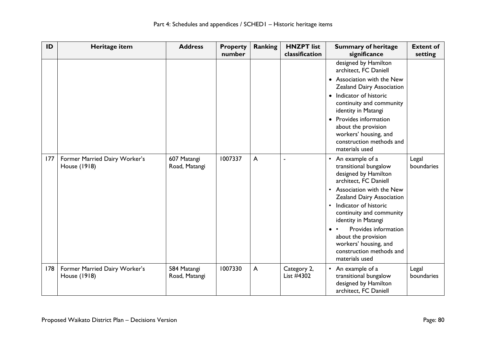| ID  | Heritage item                                 | <b>Address</b>               | <b>Property</b><br>number | <b>Ranking</b> | <b>HNZPT</b> list<br>classification | <b>Summary of heritage</b><br>significance                                                                                                                                                                                                                                                                                                                                                  | <b>Extent of</b><br>setting |
|-----|-----------------------------------------------|------------------------------|---------------------------|----------------|-------------------------------------|---------------------------------------------------------------------------------------------------------------------------------------------------------------------------------------------------------------------------------------------------------------------------------------------------------------------------------------------------------------------------------------------|-----------------------------|
|     |                                               |                              |                           |                |                                     | designed by Hamilton<br>architect, FC Daniell<br>• Association with the New<br>Zealand Dairy Association<br>• Indicator of historic<br>continuity and community<br>identity in Matangi<br>Provides information<br>$\bullet$<br>about the provision<br>workers' housing, and<br>construction methods and<br>materials used                                                                   |                             |
| 177 | Former Married Dairy Worker's<br>House (1918) | 607 Matangi<br>Road, Matangi | 1007337                   | $\overline{A}$ | ä,                                  | An example of a<br>$\bullet$<br>transitional bungalow<br>designed by Hamilton<br>architect, FC Daniell<br>Association with the New<br>$\bullet$<br>Zealand Dairy Association<br>Indicator of historic<br>$\bullet$<br>continuity and community<br>identity in Matangi<br>Provides information<br>about the provision<br>workers' housing, and<br>construction methods and<br>materials used | Legal<br>boundaries         |
| 178 | Former Married Dairy Worker's<br>House (1918) | 584 Matangi<br>Road, Matangi | 1007330                   | $\mathsf{A}$   | Category 2,<br>List #4302           | An example of a<br>$\bullet$<br>transitional bungalow<br>designed by Hamilton<br>architect, FC Daniell                                                                                                                                                                                                                                                                                      | Legal<br>boundaries         |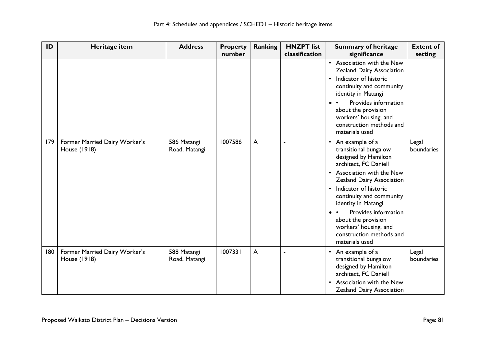| ID  | Heritage item                                 | <b>Address</b>               | <b>Property</b><br>number | <b>Ranking</b>          | <b>HNZPT</b> list<br>classification | <b>Summary of heritage</b><br>significance                                                                                                                                                                                                                                                                                                                                                  | <b>Extent of</b><br>setting |
|-----|-----------------------------------------------|------------------------------|---------------------------|-------------------------|-------------------------------------|---------------------------------------------------------------------------------------------------------------------------------------------------------------------------------------------------------------------------------------------------------------------------------------------------------------------------------------------------------------------------------------------|-----------------------------|
|     |                                               |                              |                           |                         |                                     | Association with the New<br>$\bullet$<br>Zealand Dairy Association<br>Indicator of historic<br>$\bullet$<br>continuity and community<br>identity in Matangi<br>Provides information<br>about the provision<br>workers' housing, and<br>construction methods and<br>materials used                                                                                                           |                             |
| 179 | Former Married Dairy Worker's<br>House (1918) | 586 Matangi<br>Road, Matangi | 1007586                   | $\overline{\mathsf{A}}$ |                                     | An example of a<br>$\bullet$<br>transitional bungalow<br>designed by Hamilton<br>architect, FC Daniell<br>Association with the New<br>$\bullet$<br>Zealand Dairy Association<br>Indicator of historic<br>$\bullet$<br>continuity and community<br>identity in Matangi<br>Provides information<br>about the provision<br>workers' housing, and<br>construction methods and<br>materials used | Legal<br>boundaries         |
| 180 | Former Married Dairy Worker's<br>House (1918) | 588 Matangi<br>Road, Matangi | 1007331                   | $\overline{\mathsf{A}}$ | ä,                                  | An example of a<br>$\bullet$<br>transitional bungalow<br>designed by Hamilton<br>architect, FC Daniell<br>Association with the New<br>$\bullet$<br>Zealand Dairy Association                                                                                                                                                                                                                | Legal<br>boundaries         |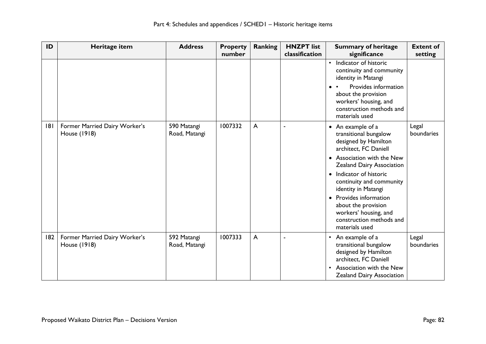| ID  | Heritage item                                 | <b>Address</b>               | <b>Property</b><br>number | Ranking      | <b>HNZPT</b> list<br>classification | <b>Summary of heritage</b><br>significance                                                                                                                                                                                                                                                                                                                                       | <b>Extent of</b><br>setting |
|-----|-----------------------------------------------|------------------------------|---------------------------|--------------|-------------------------------------|----------------------------------------------------------------------------------------------------------------------------------------------------------------------------------------------------------------------------------------------------------------------------------------------------------------------------------------------------------------------------------|-----------------------------|
|     |                                               |                              |                           |              |                                     | Indicator of historic<br>$\bullet$<br>continuity and community<br>identity in Matangi<br>Provides information<br>about the provision<br>workers' housing, and<br>construction methods and<br>materials used                                                                                                                                                                      |                             |
| 8   | Former Married Dairy Worker's<br>House (1918) | 590 Matangi<br>Road, Matangi | 1007332                   | $\mathsf{A}$ |                                     | An example of a<br>$\bullet$<br>transitional bungalow<br>designed by Hamilton<br>architect, FC Daniell<br>• Association with the New<br>Zealand Dairy Association<br>Indicator of historic<br>$\bullet$<br>continuity and community<br>identity in Matangi<br>Provides information<br>about the provision<br>workers' housing, and<br>construction methods and<br>materials used | Legal<br>boundaries         |
| 182 | Former Married Dairy Worker's<br>House (1918) | 592 Matangi<br>Road, Matangi | 1007333                   | A            |                                     | An example of a<br>$\bullet$<br>transitional bungalow<br>designed by Hamilton<br>architect, FC Daniell<br>Association with the New<br>Zealand Dairy Association                                                                                                                                                                                                                  | Legal<br>boundaries         |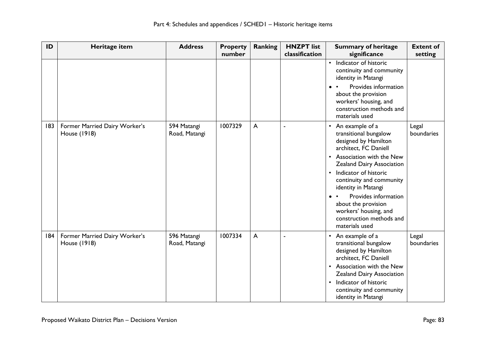| ID  | Heritage item                                 | <b>Address</b>               | <b>Property</b><br>number | <b>Ranking</b> | <b>HNZPT</b> list<br>classification | <b>Summary of heritage</b><br>significance                                                                                                                                                                                                                                                                                                                                     | <b>Extent of</b><br>setting |
|-----|-----------------------------------------------|------------------------------|---------------------------|----------------|-------------------------------------|--------------------------------------------------------------------------------------------------------------------------------------------------------------------------------------------------------------------------------------------------------------------------------------------------------------------------------------------------------------------------------|-----------------------------|
|     |                                               |                              |                           |                |                                     | Indicator of historic<br>$\bullet$<br>continuity and community<br>identity in Matangi<br>Provides information<br>about the provision<br>workers' housing, and<br>construction methods and<br>materials used                                                                                                                                                                    |                             |
| 183 | Former Married Dairy Worker's<br>House (1918) | 594 Matangi<br>Road, Matangi | 1007329                   | A              | ×,                                  | An example of a<br>$\bullet$<br>transitional bungalow<br>designed by Hamilton<br>architect, FC Daniell<br>Association with the New<br>Zealand Dairy Association<br>Indicator of historic<br>$\bullet$<br>continuity and community<br>identity in Matangi<br>Provides information<br>about the provision<br>workers' housing, and<br>construction methods and<br>materials used | Legal<br>boundaries         |
| 184 | Former Married Dairy Worker's<br>House (1918) | 596 Matangi<br>Road, Matangi | 1007334                   | $\mathsf{A}$   |                                     | An example of a<br>$\bullet$<br>transitional bungalow<br>designed by Hamilton<br>architect, FC Daniell<br>Association with the New<br>$\bullet$<br>Zealand Dairy Association<br>Indicator of historic<br>$\bullet$<br>continuity and community<br>identity in Matangi                                                                                                          | Legal<br>boundaries         |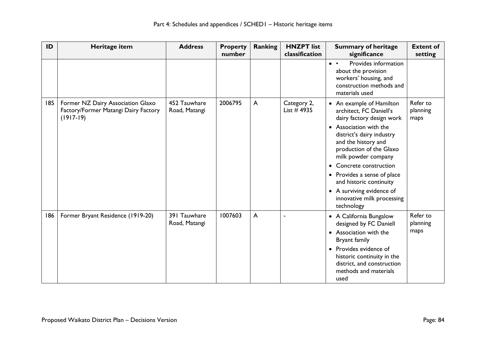| ID  | Heritage item                                                                            | <b>Address</b>                | <b>Property</b><br>number | <b>Ranking</b>          | <b>HNZPT</b> list<br>classification | <b>Summary of heritage</b><br>significance                                                                                                                                                                                                                                                                                                                                                | <b>Extent of</b><br>setting  |
|-----|------------------------------------------------------------------------------------------|-------------------------------|---------------------------|-------------------------|-------------------------------------|-------------------------------------------------------------------------------------------------------------------------------------------------------------------------------------------------------------------------------------------------------------------------------------------------------------------------------------------------------------------------------------------|------------------------------|
|     |                                                                                          |                               |                           |                         |                                     | Provides information<br>$\bullet\quad\bullet$<br>about the provision<br>workers' housing, and<br>construction methods and<br>materials used                                                                                                                                                                                                                                               |                              |
| 185 | Former NZ Dairy Association Glaxo<br>Factory/Former Matangi Dairy Factory<br>$(1917-19)$ | 452 Tauwhare<br>Road, Matangi | 2006795                   | $\mathsf{A}$            | Category 2,<br>List $#4935$         | • An example of Hamilton<br>architect, FC Daniell's<br>dairy factory design work<br>• Association with the<br>district's dairy industry<br>and the history and<br>production of the Glaxo<br>milk powder company<br>Concrete construction<br>$\bullet$<br>• Provides a sense of place<br>and historic continuity<br>• A surviving evidence of<br>innovative milk processing<br>technology | Refer to<br>planning<br>maps |
| 186 | Former Bryant Residence (1919-20)                                                        | 391 Tauwhare<br>Road, Matangi | 1007603                   | $\overline{\mathsf{A}}$ |                                     | • A California Bungalow<br>designed by FC Daniell<br>Association with the<br>$\bullet$<br>Bryant family<br>• Provides evidence of<br>historic continuity in the<br>district, and construction<br>methods and materials<br>used                                                                                                                                                            | Refer to<br>planning<br>maps |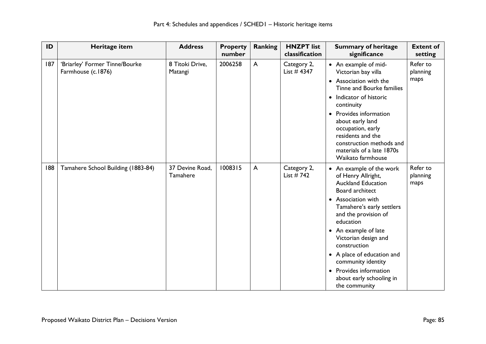| ID  | Heritage item                                        | <b>Address</b>              | <b>Property</b><br>number | <b>Ranking</b> | <b>HNZPT</b> list<br>classification | <b>Summary of heritage</b><br>significance                                                                                                                                                                                                                                                                                                                                        | <b>Extent of</b><br>setting  |
|-----|------------------------------------------------------|-----------------------------|---------------------------|----------------|-------------------------------------|-----------------------------------------------------------------------------------------------------------------------------------------------------------------------------------------------------------------------------------------------------------------------------------------------------------------------------------------------------------------------------------|------------------------------|
| 187 | 'Briarley' Former Tinne/Bourke<br>Farmhouse (c.1876) | 8 Titoki Drive,<br>Matangi  | 2006258                   | $\mathsf{A}$   | Category 2,<br>List $#$ 4347        | • An example of mid-<br>Victorian bay villa<br>• Association with the<br>Tinne and Bourke families<br>• Indicator of historic<br>continuity<br>• Provides information<br>about early land<br>occupation, early<br>residents and the<br>construction methods and<br>materials of a late 1870s<br>Waikato farmhouse                                                                 | Refer to<br>planning<br>maps |
| 188 | Tamahere School Building (1883-84)                   | 37 Devine Road,<br>Tamahere | 1008315                   | A              | Category 2,<br>List $# 742$         | • An example of the work<br>of Henry Allright,<br><b>Auckland Education</b><br>Board architect<br>• Association with<br>Tamahere's early settlers<br>and the provision of<br>education<br>• An example of late<br>Victorian design and<br>construction<br>• A place of education and<br>community identity<br>• Provides information<br>about early schooling in<br>the community | Refer to<br>planning<br>maps |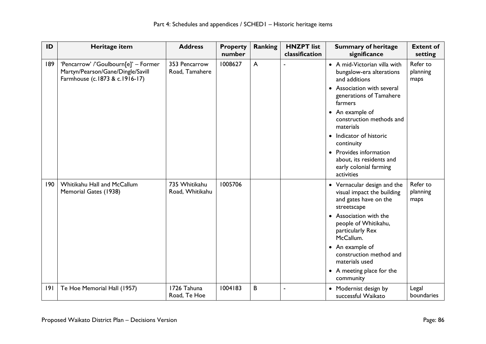| ID  | Heritage item                                                                                               | <b>Address</b>                   | <b>Property</b><br>number | <b>Ranking</b> | <b>HNZPT</b> list<br>classification | <b>Summary of heritage</b><br>significance                                                                                                                                                                                                                                                               | <b>Extent of</b><br>setting  |
|-----|-------------------------------------------------------------------------------------------------------------|----------------------------------|---------------------------|----------------|-------------------------------------|----------------------------------------------------------------------------------------------------------------------------------------------------------------------------------------------------------------------------------------------------------------------------------------------------------|------------------------------|
| 189 | 'Pencarrow' /'Goulbourn[e]' - Former<br>Martyn/Pearson/Gane/Dingle/Savill<br>Farmhouse (c.1873 & c.1916-17) | 353 Pencarrow<br>Road, Tamahere  | 1008627                   | A              |                                     | • A mid-Victorian villa with<br>bungalow-era alterations<br>and additions<br>• Association with several<br>generations of Tamahere<br>farmers<br>• An example of<br>construction methods and<br>materials<br>• Indicator of historic<br>continuity<br>• Provides information<br>about, its residents and | Refer to<br>planning<br>maps |
|     |                                                                                                             |                                  |                           |                |                                     | early colonial farming<br>activities                                                                                                                                                                                                                                                                     |                              |
| 190 | Whitikahu Hall and McCallum<br>Memorial Gates (1938)                                                        | 735 Whitikahu<br>Road, Whitikahu | 1005706                   |                |                                     | • Vernacular design and the<br>visual impact the building<br>and gates have on the<br>streetscape<br>• Association with the<br>people of Whitikahu,<br>particularly Rex<br>McCallum.<br>• An example of<br>construction method and<br>materials used<br>• A meeting place for the<br>community           | Refer to<br>planning<br>maps |
| 9   | Te Hoe Memorial Hall (1957)                                                                                 | 1726 Tahuna<br>Road, Te Hoe      | 1004183                   | B              |                                     | • Modernist design by<br>successful Waikato                                                                                                                                                                                                                                                              | Legal<br>boundaries          |